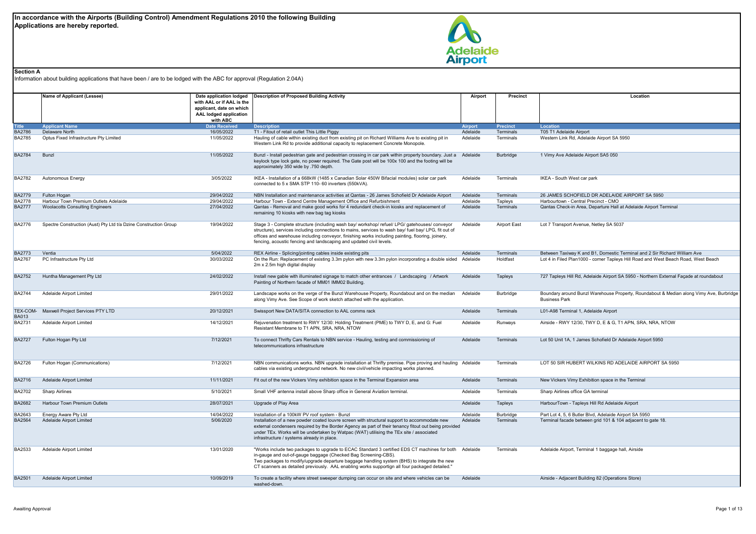

## **Section A**

Information about building applications that have been / are to be lodged with the ABC for approval (Regulation 2.04A)

|               | Name of Applicant (Lessee)                                       | Date application lodged<br>with AAL or if AAL is the<br>applicant, date on which<br>AAL lodged application<br>with ABC | <b>Description of Proposed Building Activity</b>                                                                                                                                                                                                                                                                                                                                 | Airport        | Precinct            | Location                                                                                                        |
|---------------|------------------------------------------------------------------|------------------------------------------------------------------------------------------------------------------------|----------------------------------------------------------------------------------------------------------------------------------------------------------------------------------------------------------------------------------------------------------------------------------------------------------------------------------------------------------------------------------|----------------|---------------------|-----------------------------------------------------------------------------------------------------------------|
| <b>Title</b>  | <b>Applicant Name</b>                                            | <b>Date Received</b>                                                                                                   | <b>Description</b>                                                                                                                                                                                                                                                                                                                                                               | <b>Airport</b> | <b>Precinct</b>     | Location                                                                                                        |
| <b>BA2786</b> | Delaware North                                                   | 16/05/2022                                                                                                             | T1 - Fitout of retail outlet This Little Piggy                                                                                                                                                                                                                                                                                                                                   | Adelaide       | Terminals           | T05 T1 Adelaide Airport                                                                                         |
| <b>BA2785</b> | Optus Fixed Infrastructure Pty Limited                           | 11/05/2022                                                                                                             | Hauling of cable within existing duct from existing pit on Richard Williams Ave to existing pit in<br>Western Link Rd to provide additional capacity to replacement Concrete Monopole.                                                                                                                                                                                           | Adelaide       | Terminals           | Western Link Rd, Adelaide Airport SA 5950                                                                       |
| <b>BA2784</b> | Bunzl                                                            | 11/05/2022                                                                                                             | Bunzl - Install pedestrian gate and pedestrian crossing in car park within property boundary. Just a<br>keylock type lock gate, no power required. The Gate post will be 100x 100 and the footing will be<br>approximately 350 wide by .750 depth.                                                                                                                               | Adelaide       | <b>Burbridge</b>    | 1 Vimy Ave Adelaide Airport SA5 050                                                                             |
| <b>BA2782</b> | Autonomous Energy                                                | 3/05/2022                                                                                                              | IKEA - Installation of a 668kW (1485 x Canadian Solar 450W Bifacial modules) solar car park<br>connected to 5 x SMA STP 110-60 inverters (550kVA).                                                                                                                                                                                                                               | Adelaide       | Terminals           | IKEA - South West car park                                                                                      |
| <b>BA2779</b> | Fulton Hogan                                                     | 29/04/2022                                                                                                             | NBN Installation and maintenance activities at Qantas - 26 James Schofield Dr Adelaide Airport                                                                                                                                                                                                                                                                                   | Adelaide       | Terminals           | 26 JAMES SCHOFIELD DR ADELAIDE AIRPORT SA 5950                                                                  |
| <b>BA2778</b> | Harbour Town Premium Outlets Adelaide                            | 29/04/2022                                                                                                             | Harbour Town - Extend Centre Management Office and Refurbishment                                                                                                                                                                                                                                                                                                                 | Adelaide       | Tapleys             | Harbourtown - Central Precinct - CMO                                                                            |
| <b>BA2777</b> | <b>Woolacotts Consulting Engineers</b>                           | 27/04/2022                                                                                                             | Qantas - Removal and make good works for 4 redundant check-in kiosks and replacement of<br>remaining 10 kiosks with new bag tag kiosks                                                                                                                                                                                                                                           | Adelaide       | Terminals           | Qantas Check-in Area, Departure Hall at Adelaide Airport Terminal                                               |
| <b>BA2776</b> | Spectre Construction (Aust) Pty Ltd t/a Dzine Construction Group | 19/04/2022                                                                                                             | Stage 3 - Complete structure (including wash bay/ workshop/ refuel/ LPG/ gatehouses/ conveyor<br>structure), services including connections to mains, services to wash bay/ fuel bay/ LPG, fit out of<br>offices and warehouse including conveyor, finishing works including painting, flooring, joinery,<br>fencing, acoustic fencing and landscaping and updated civil levels. | Adelaide       | <b>Airport East</b> | Lot 7 Transport Avenue, Netley SA 5037                                                                          |
| <b>BA2773</b> | Ventia                                                           | 5/04/2022                                                                                                              | REX Airline - Splicing/jointing cables inside existing pits                                                                                                                                                                                                                                                                                                                      | Adelaide       | Terminals           | Between Taxiway K and B1, Domestic Terminal and 2 Sir Richard William Ave                                       |
| <b>BA2767</b> | PC Infrastructure Pty Ltd                                        | 30/03/2022                                                                                                             | On the Run: Replacement of existing 3.3m pylon with new 3.3m pylon incorporating a double sided<br>2m x 2.5m high digital display                                                                                                                                                                                                                                                | Adelaide       | Holdfast            | Lot 4 in Filed Plan1000 - corner Tapleys Hill Road and West Beach Road, West Beach                              |
| <b>BA2752</b> | Huntha Management Pty Ltd                                        | 24/02/2022                                                                                                             | Install new gable with illuminated signage to match other entrances / Landscaping / Artwork<br>Painting of Northern facade of MM01 IMM02 Building.                                                                                                                                                                                                                               | Adelaide       | Tapleys             | 727 Tapleys Hill Rd, Adelaide Airport SA 5950 - Northern External Façade at roundabout                          |
| <b>BA2744</b> | Adelaide Airport Limited                                         | 29/01/2022                                                                                                             | Landscape works on the verge of the Bunzl Warehouse Property, Roundabout and on the median<br>along Vimy Ave. See Scope of work sketch attached with the application.                                                                                                                                                                                                            | Adelaide       | Burbridge           | Boundary around Bunzl Warehouse Property, Roundabout & Median along Vimy Ave, Burbridge<br><b>Business Park</b> |
| <b>BA013</b>  | TEX-COM- Maxwell Project Services PTY LTD                        | 20/12/2021                                                                                                             | Swissport New DATA/SITA connection to AAL comms rack                                                                                                                                                                                                                                                                                                                             | Adelaide       | Terminals           | L01-A98 Terminal 1, Adelaide Airport                                                                            |
| <b>BA2731</b> | Adelaide Airport Limited                                         | 14/12/2021                                                                                                             | Rejuvenation treatment to RWY 12/30: Holding Treatment (PME) to TWY D, E, and G: Fuel<br>Resistant Membrane to T1 APN, SRA, NRA, NTOW                                                                                                                                                                                                                                            | Adelaide       | Runways             | Airside - RWY 12/30, TWY D, E & G, T1 APN, SRA, NRA, NTOW                                                       |
| <b>BA2727</b> | Fulton Hogan Pty Ltd                                             | 7/12/2021                                                                                                              | To connect Thrifty Cars Rentals to NBN service - Hauling, testing and commissioning of<br>telecommunications infrastructure                                                                                                                                                                                                                                                      | Adelaide       | Terminals           | Lot 50 Unit 1A, 1 James Schofield Dr Adelaide Airport 5950                                                      |
| <b>BA2726</b> | Fulton Hogan (Communications)                                    | 7/12/2021                                                                                                              | NBN communications works. NBN upgrade installation at Thrifty premise. Pipe proving and hauling Adelaide<br>cables via existing underground network. No new civil/vehicle impacting works planned.                                                                                                                                                                               |                | Terminals           | LOT 50 SIR HUBERT WILKINS RD ADELAIDE AIRPORT SA 5950                                                           |
| <b>BA2716</b> | Adelaide Airport Limited                                         | 11/11/2021                                                                                                             | Fit out of the new Vickers Vimy exhibition space in the Terminal Expansion area                                                                                                                                                                                                                                                                                                  | Adelaide       | Terminals           | New Vickers Vimy Exhibition space in the Terminal                                                               |
| <b>BA2702</b> | <b>Sharp Airlines</b>                                            | 5/10/2021                                                                                                              | Small VHF antenna install above Sharp office in General Aviation terminal.                                                                                                                                                                                                                                                                                                       | Adelaide       | Terminals           | Sharp Airlines office GA terminal                                                                               |
| <b>BA2682</b> | Harbour Town Premium Outlets                                     | 28/07/2021                                                                                                             | Upgrade of Play Area                                                                                                                                                                                                                                                                                                                                                             | Adelaide       | Tapleys             | HarbourTown - Tapleys Hill Rd Adelaide Airport                                                                  |
| BA2643        | Energy Aware Pty Ltd                                             | 14/04/2022                                                                                                             | Installation of a 100kW PV roof system - Bunzl                                                                                                                                                                                                                                                                                                                                   | Adelaide       | Burbridge           | Part Lot 4, 5, 6 Butler Blvd, Adelaide Airport SA 5950                                                          |
| <b>BA2564</b> | Adelaide Airport Limited                                         | 5/06/2020                                                                                                              | Installation of a new powder coated louvre screen with structural support to accommodate new<br>external condensers required by the Border Agency as part of their tenancy fitout out being provided<br>under TEx. Works will be undertaken by Watpac (WAT) utilising the TEx site / associated<br>infrastructure / systems already in place.                                    | Adelaide       | Terminals           | Terminal facade between grid 101 & 104 adjacent to gate 18.                                                     |
| <b>BA2533</b> | Adelaide Airport Limited                                         | 13/01/2020                                                                                                             | "Works include two packages to upgrade to ECAC Standard 3 certified EDS CT machines for both<br>in-gauge and out-of-gauge baggage (Checked Bag Screening-CBS).<br>Two packages to modify/upgrade departure baggage handling system (BHS) to integrate the new<br>CT scanners as detailed previously. AAL enabling works supportign all four packaged detailed."                  | Adelaide       | Terminals           | Adelaide Airport, Terminal 1 baggage hall, Airside                                                              |
| <b>BA2501</b> | Adelaide Airport Limited                                         | 10/09/2019                                                                                                             | To create a facility where street sweeper dumping can occur on site and where vehicles can be<br>washed-down.                                                                                                                                                                                                                                                                    | Adelaide       |                     | Airside - Adjacent Building 82 (Operations Store)                                                               |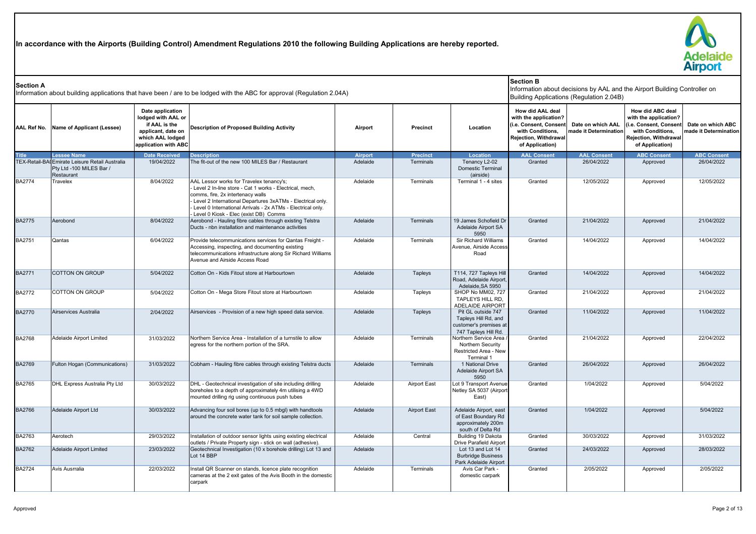**In accordance with the Airports (Building Control) Amendment Regulations 2010 the following Building Applications are hereby reported.**



| <b>Section A</b>   |                                                                                          |                                                                                                                           | Information about building applications that have been / are to be lodged with the ABC for approval (Regulation 2.04A)                                                                                                                                                                                             |                |                     |                                                                                              | <b>Section B</b>                                                                                                                   | Building Applications (Regulation 2.04B)   | Information about decisions by AAL and the Airport Building Controller on                                                          |                                            |
|--------------------|------------------------------------------------------------------------------------------|---------------------------------------------------------------------------------------------------------------------------|--------------------------------------------------------------------------------------------------------------------------------------------------------------------------------------------------------------------------------------------------------------------------------------------------------------------|----------------|---------------------|----------------------------------------------------------------------------------------------|------------------------------------------------------------------------------------------------------------------------------------|--------------------------------------------|------------------------------------------------------------------------------------------------------------------------------------|--------------------------------------------|
| <b>AAL Ref No.</b> | Name of Applicant (Lessee)                                                               | Date application<br>lodged with AAL or<br>if AAL is the<br>applicant, date on<br>which AAL lodged<br>application with ABC | Description of Proposed Building Activity                                                                                                                                                                                                                                                                          | Airport        | <b>Precinct</b>     | Location                                                                                     | How did AAL deal<br>with the application?<br>i.e. Consent, Consent<br>with Conditions.<br>Rejection, Withdrawal<br>of Application) | Date on which AAL<br>made it Determination | How did ABC deal<br>with the application?<br>(i.e. Consent, Consen<br>with Conditions.<br>Rejection, Withdrawal<br>of Application) | Date on which ABC<br>made it Determination |
| <b>Title</b>       | <b>Lessee Name</b>                                                                       | <b>Date Received</b>                                                                                                      | <b>Description</b>                                                                                                                                                                                                                                                                                                 | <b>Airport</b> | <b>Precinct</b>     | <b>Location</b>                                                                              | <b>AAL Consent</b>                                                                                                                 | <b>AAL Consent</b>                         | <b>ABC Consent</b>                                                                                                                 | <b>ABC Consent</b>                         |
|                    | TEX-Retail-BA Emirate Leisure Retail Australia<br>Pty Ltd -100 MILES Bar /<br>Restaurant | 19/04/2022                                                                                                                | The fit-out of the new 100 MILES Bar / Restaurant                                                                                                                                                                                                                                                                  | Adelaide       | Terminals           | Tenancy L2-02<br>Domestic Terminal<br>(airside)                                              | Granted                                                                                                                            | 26/04/2022                                 | Approved                                                                                                                           | 26/04/2022                                 |
| <b>BA2774</b>      | Travelex                                                                                 | 8/04/2022                                                                                                                 | AAL Lessor works for Travelex tenancy's;<br>Level 2 In-line store - Cat 1 works - Electrical, mech.<br>comms, fire, 2x intertenacy walls<br>- Level 2 International Departures 3xATMs - Electrical only.<br>- Level 0 International Arrivals - 2x ATMs - Electrical only.<br>Level 0 Kiosk - Elec (exist DB) Comms | Adelaide       | <b>Terminals</b>    | Terminal 1 - 4 sites                                                                         | Granted                                                                                                                            | 12/05/2022                                 | Approved                                                                                                                           | 12/05/2022                                 |
| <b>BA2775</b>      | Aerobond                                                                                 | 8/04/2022                                                                                                                 | Aerobond - Hauling fibre cables through existing Telstra<br>Ducts - nbn installation and maintenance activities                                                                                                                                                                                                    | Adelaide       | Terminals           | 19 James Schofield Dr<br>Adelaide Airport SA<br>5950                                         | Granted                                                                                                                            | 21/04/2022                                 | Approved                                                                                                                           | 21/04/2022                                 |
| <b>BA2751</b>      | Qantas                                                                                   | 6/04/2022                                                                                                                 | Provide telecommunications services for Qantas Freight -<br>Accessing, inspecting, and documenting existing<br>telecommunications infrastructure along Sir Richard Williams<br>Avenue and Airside Access Road                                                                                                      | Adelaide       | Terminals           | <b>Sir Richard Williams</b><br>Avenue, Airside Access<br>Road                                | Granted                                                                                                                            | 14/04/2022                                 | Approved                                                                                                                           | 14/04/2022                                 |
| <b>BA2771</b>      | <b>COTTON ON GROUP</b>                                                                   | 5/04/2022                                                                                                                 | Cotton On - Kids Fitout store at Harbourtown                                                                                                                                                                                                                                                                       | Adelaide       | Tapleys             | T114, 727 Tapleys Hill<br>Road, Adelaide Airport,<br>Adelaide, SA 5950                       | Granted                                                                                                                            | 14/04/2022                                 | Approved                                                                                                                           | 14/04/2022                                 |
| <b>BA2772</b>      | <b>COTTON ON GROUP</b>                                                                   | 5/04/2022                                                                                                                 | Cotton On - Mega Store Fitout store at Harbourtown                                                                                                                                                                                                                                                                 | Adelaide       | Tapleys             | <b>SHOP No MM02, 727</b><br>TAPLEYS HILL RD,<br><b>ADELAIDE AIRPORT</b>                      | Granted                                                                                                                            | 21/04/2022                                 | Approved                                                                                                                           | 21/04/2022                                 |
| <b>BA2770</b>      | Airservices Australia                                                                    | 2/04/2022                                                                                                                 | Airservices - Provision of a new high speed data service.                                                                                                                                                                                                                                                          | Adelaide       | Tapleys             | Pit GL outside 747<br>Tapleys Hill Rd, and<br>customer's premises at<br>747 Tapleys Hill Rd. | Granted                                                                                                                            | 11/04/2022                                 | Approved                                                                                                                           | 11/04/2022                                 |
| <b>BA2768</b>      | Adelaide Airport Limited                                                                 | 31/03/2022                                                                                                                | Northern Service Area - Installation of a turnstile to allow<br>egress for the northern portion of the SRA.                                                                                                                                                                                                        | Adelaide       | Terminals           | Northern Service Area<br>Northern Security<br>Restricted Area - New<br>Terminal 1            | Granted                                                                                                                            | 21/04/2022                                 | Approved                                                                                                                           | 22/04/2022                                 |
| <b>BA2769</b>      | Fulton Hogan (Communications)                                                            | 31/03/2022                                                                                                                | Cobham - Hauling fibre cables through existing Telstra ducts                                                                                                                                                                                                                                                       | Adelaide       | Terminals           | 1 National Drive<br>Adelaide Airport SA<br>5950                                              | Granted                                                                                                                            | 26/04/2022                                 | Approved                                                                                                                           | 26/04/2022                                 |
| <b>BA2765</b>      | DHL Express Australia Pty Ltd                                                            | 30/03/2022                                                                                                                | DHL - Geotechnical investigation of site including drilling<br>boreholes to a depth of approximately 4m utilising a 4WD<br>mounted drilling rig using continuous push tubes                                                                                                                                        | Adelaide       | <b>Airport East</b> | Lot 9 Transport Avenue<br>Netley SA 5037 (Airport<br>East)                                   | Granted                                                                                                                            | 1/04/2022                                  | Approved                                                                                                                           | 5/04/2022                                  |
| <b>BA2766</b>      | Adelaide Airport Ltd                                                                     | 30/03/2022                                                                                                                | Advancing four soil bores (up to 0.5 mbgl) with handtools<br>around the concrete water tank for soil sample collection.                                                                                                                                                                                            | Adelaide       | <b>Airport East</b> | Adelaide Airport, east<br>of East Boundary Rd<br>approximately 200m<br>south of Delta Rd     | Granted                                                                                                                            | 1/04/2022                                  | Approved                                                                                                                           | 5/04/2022                                  |
| BA2763             | Aerotech                                                                                 | 29/03/2022                                                                                                                | Installation of outdoor sensor lights using existing electrical<br>outlets / Private Property sign - stick on wall (adhesive).                                                                                                                                                                                     | Adelaide       | Central             | Building 19 Dakota<br>Drive Parafield Airport                                                | Granted                                                                                                                            | 30/03/2022                                 | Approved                                                                                                                           | 31/03/2022                                 |
| <b>BA2762</b>      | Adelaide Airport Limited                                                                 | 23/03/2022                                                                                                                | Geotechnical Investigation (10 x borehole drilling) Lot 13 and<br>Lot 14 BBP                                                                                                                                                                                                                                       | Adelaide       |                     | Lot 13 and Lot 14<br><b>Burbridge Business</b><br>Park Adelaide Airport                      | Granted                                                                                                                            | 24/03/2022                                 | Approved                                                                                                                           | 28/03/2022                                 |
| BA2724             | Avis Ausrralia                                                                           | 22/03/2022                                                                                                                | Install QR Scanner on stands, licence plate recognition<br>cameras at the 2 exit gates of the Avis Booth in the domestic<br>carpark                                                                                                                                                                                | Adelaide       | Terminals           | Avis Car Park -<br>domestic carpark                                                          | Granted                                                                                                                            | 2/05/2022                                  | Approved                                                                                                                           | 2/05/2022                                  |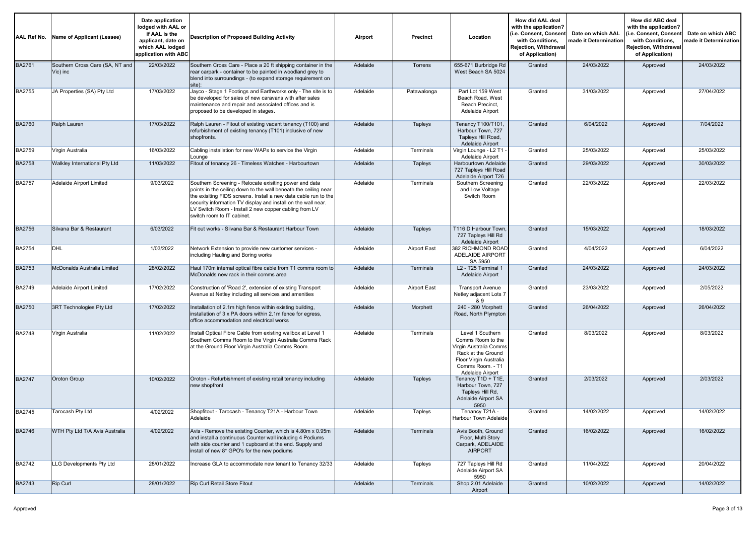| AAL Ref No.   | Name of Applicant (Lessee)                  | Date application<br>lodged with AAL or<br>if AAL is the<br>applicant, date on<br>which AAL lodged<br>application with ABC | Description of Proposed Building Activity                                                                                                                                                                                                                                                                                                            | Airport  | <b>Precinct</b>  | Location                                                                                                                                                | How did AAL deal<br>with the application?<br>(i.e. Consent, Consent<br>with Conditions.<br><b>Rejection. Withdrawal</b><br>of Application) | Date on which AAL<br>nade it Determination | How did ABC deal<br>with the application?<br>i.e. Consent, Consent<br>with Conditions,<br>Rejection, Withdrawal<br>of Application) | Date on which ABC<br>nade it Determination |
|---------------|---------------------------------------------|---------------------------------------------------------------------------------------------------------------------------|------------------------------------------------------------------------------------------------------------------------------------------------------------------------------------------------------------------------------------------------------------------------------------------------------------------------------------------------------|----------|------------------|---------------------------------------------------------------------------------------------------------------------------------------------------------|--------------------------------------------------------------------------------------------------------------------------------------------|--------------------------------------------|------------------------------------------------------------------------------------------------------------------------------------|--------------------------------------------|
| <b>BA2761</b> | Southern Cross Care (SA, NT and<br>Vic) inc | 22/03/2022                                                                                                                | Southern Cross Care - Place a 20 ft shipping container in the<br>rear carpark - container to be painted in woodland grey to<br>blend into surroundings - (to expand storage requirement on<br>site):                                                                                                                                                 | Adelaide | Torrens          | 655-671 Burbridge Rd<br>West Beach SA 5024                                                                                                              | Granted                                                                                                                                    | 24/03/2022                                 | Approved                                                                                                                           | 24/03/2022                                 |
| BA2755        | JA Properties (SA) Pty Ltd                  | 17/03/2022                                                                                                                | Jayco - Stage 1 Footings and Earthworks only - The site is to<br>be developed for sales of new caravans with after sales<br>maintenance and repair and associated offices and is<br>proposed to be developed in stages.                                                                                                                              | Adelaide | Patawalonga      | Part Lot 159 West<br>Beach Road, West<br>Beach Precinct,<br>Adelaide Airport                                                                            | Granted                                                                                                                                    | 31/03/2022                                 | Approved                                                                                                                           | 27/04/2022                                 |
| <b>BA2760</b> | Ralph Lauren                                | 17/03/2022                                                                                                                | Ralph Lauren - Fitout of existing vacant tenancy (T100) and<br>refurbishment of existing tenancy (T101) inclusive of new<br>shopfronts.                                                                                                                                                                                                              | Adelaide | Tapleys          | Tenancy T100/T101<br>Harbour Town, 727<br>Tapleys Hill Road,<br>Adelaide Airport                                                                        | Granted                                                                                                                                    | 6/04/2022                                  | Approved                                                                                                                           | 7/04/2022                                  |
| BA2759        | Virgin Australia                            | 16/03/2022                                                                                                                | Cabling installation for new WAPs to service the Virgin<br>Lounge                                                                                                                                                                                                                                                                                    | Adelaide | Terminals        | Virgin Lounge - L2 T1 ·<br>Adelaide Airport                                                                                                             | Granted                                                                                                                                    | 25/03/2022                                 | Approved                                                                                                                           | 25/03/2022                                 |
| <b>BA2758</b> | Walkley International Pty Ltd               | 11/03/2022                                                                                                                | Fitout of tenancy 26 - Timeless Watches - Harbourtown                                                                                                                                                                                                                                                                                                | Adelaide | Tapleys          | Harbourtown Adelaide<br>727 Tapleys Hill Road<br>Adelaide Airport T26                                                                                   | Granted                                                                                                                                    | 29/03/2022                                 | Approved                                                                                                                           | 30/03/2022                                 |
| BA2757        | Adelaide Airport Limited                    | 9/03/2022                                                                                                                 | Southern Screening - Relocate exisiting power and data<br>points in the ceiling down to the wall beneath the ceiling near<br>the exisiting FIDS screens. Install a new data cable run to the<br>security information TV display and install on the wall near.<br>LV Switch Room - Install 2 new copper cabling from LV<br>switch room to IT cabinet. | Adelaide | Terminals        | Southern Screening<br>and Low Voltage<br>Switch Room                                                                                                    | Granted                                                                                                                                    | 22/03/2022                                 | Approved                                                                                                                           | 22/03/2022                                 |
| <b>BA2756</b> | Silvana Bar & Restaurant                    | 6/03/2022                                                                                                                 | Fit out works - Silvana Bar & Restaurant Harbour Town                                                                                                                                                                                                                                                                                                | Adelaide | Tapleys          | T116 D Harbour Town,<br>727 Tapleys Hill Rd<br>Adelaide Airport                                                                                         | Granted                                                                                                                                    | 15/03/2022                                 | Approved                                                                                                                           | 18/03/2022                                 |
| BA2754        | <b>DHL</b>                                  | 1/03/2022                                                                                                                 | Network Extension to provide new customer services -<br>including Hauling and Boring works                                                                                                                                                                                                                                                           | Adelaide | Airport East     | 382 RICHMOND ROAD<br>ADELAIDE AIRPORT<br>SA 5950                                                                                                        | Granted                                                                                                                                    | 4/04/2022                                  | Approved                                                                                                                           | 6/04/2022                                  |
| <b>BA2753</b> | McDonalds Australia Limited                 | 28/02/2022                                                                                                                | Haul 170m internal optical fibre cable from T1 comms room to<br>McDonalds new rack in their comms area                                                                                                                                                                                                                                               | Adelaide | Terminals        | L2 - T25 Terminal 1<br>Adelaide Airport                                                                                                                 | Granted                                                                                                                                    | 24/03/2022                                 | Approved                                                                                                                           | 24/03/2022                                 |
| BA2749        | Adelaide Airport Limited                    | 17/02/2022                                                                                                                | Construction of 'Road 2', extension of existing Transport<br>Avenue at Netley including all services and amenities                                                                                                                                                                                                                                   | Adelaide | Airport East     | <b>Transport Avenue</b><br>Netley adjacent Lots 7<br>& 9                                                                                                | Granted                                                                                                                                    | 23/03/2022                                 | Approved                                                                                                                           | 2/05/2022                                  |
| <b>BA2750</b> | 3RT Technologies Pty Ltd                    | 17/02/2022                                                                                                                | Installation of 2.1m high fence within existing building,<br>installation of 3 x PA doors within 2.1m fence for egress,<br>office accommodation and electrical works                                                                                                                                                                                 | Adelaide | Morphett         | 240 - 280 Morphett<br>Road, North Plympton                                                                                                              | Granted                                                                                                                                    | 26/04/2022                                 | Approved                                                                                                                           | 26/04/2022                                 |
| BA2748        | Virgin Australia                            | 11/02/2022                                                                                                                | Install Optical Fibre Cable from existing wallbox at Level 1<br>Southern Comms Room to the Virgin Australia Comms Rack<br>at the Ground Floor Virgin Australia Comms Room.                                                                                                                                                                           | Adelaide | Terminals        | Level 1 Southern<br>Comms Room to the<br>Virgin Australia Comms<br>Rack at the Ground<br>Floor Virgin Australia<br>Comms Room. - T1<br>Adelaide Airport | Granted                                                                                                                                    | 8/03/2022                                  | Approved                                                                                                                           | 8/03/2022                                  |
| <b>BA2747</b> | Oroton Group                                | 10/02/2022                                                                                                                | Oroton - Refurbishment of existing retail tenancy including<br>new shopfront                                                                                                                                                                                                                                                                         | Adelaide | Tapleys          | Tenancy T1D + T1E,<br>Harbour Town, 727<br>Tapleys Hill Rd,<br>Adelaide Airport SA<br>5950                                                              | Granted                                                                                                                                    | 2/03/2022                                  | Approved                                                                                                                           | 2/03/2022                                  |
| BA2745        | Tarocash Pty Ltd                            | 4/02/2022                                                                                                                 | Shopfitout - Tarocash - Tenancy T21A - Harbour Town<br>Adelaide                                                                                                                                                                                                                                                                                      | Adelaide | Tapleys          | Tenancy T21A -<br>Harbour Town Adelaide                                                                                                                 | Granted                                                                                                                                    | 14/02/2022                                 | Approved                                                                                                                           | 14/02/2022                                 |
| <b>BA2746</b> | WTH Pty Ltd T/A Avis Australia              | 4/02/2022                                                                                                                 | Avis - Remove the existing Counter, which is 4.80m x 0.95m<br>and install a continuous Counter wall including 4 Podiums<br>with side counter and 1 cupboard at the end. Supply and<br>install of new 8* GPO's for the new podiums                                                                                                                    | Adelaide | <b>Terminals</b> | Avis Booth, Ground<br>Floor, Multi Story<br>Carpark, ADELAIDE<br><b>AIRPORT</b>                                                                         | Granted                                                                                                                                    | 16/02/2022                                 | Approved                                                                                                                           | 16/02/2022                                 |
| BA2742        | LLG Developments Pty Ltd                    | 28/01/2022                                                                                                                | Increase GLA to accommodate new tenant to Tenancy 32/33                                                                                                                                                                                                                                                                                              | Adelaide | Tapleys          | 727 Tapleys Hill Rd<br>Adelaide Airport SA<br>5950                                                                                                      | Granted                                                                                                                                    | 11/04/2022                                 | Approved                                                                                                                           | 20/04/2022                                 |
| <b>BA2743</b> | Rip Curl                                    | 28/01/2022                                                                                                                | <b>Rip Curl Retail Store Fitout</b>                                                                                                                                                                                                                                                                                                                  | Adelaide | Terminals        | Shop 2.01 Adelaide<br>Airport                                                                                                                           | Granted                                                                                                                                    | 10/02/2022                                 | Approved                                                                                                                           | 14/02/2022                                 |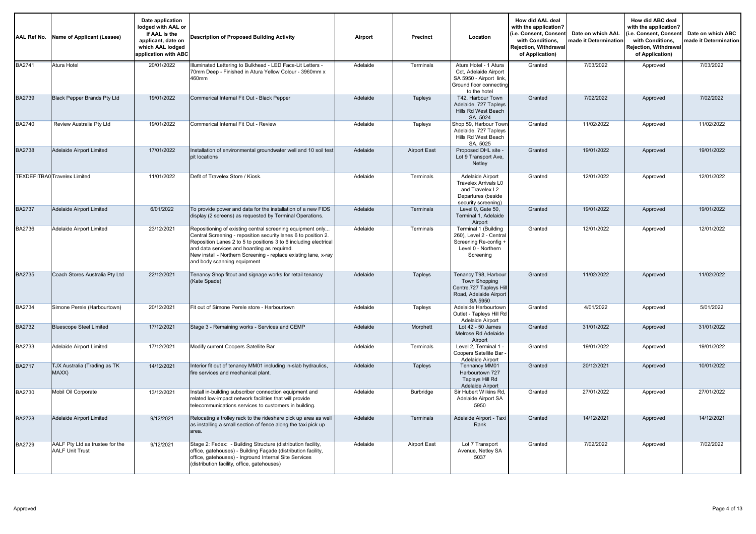| AAL Ref No.   | Name of Applicant (Lessee)                                | Date application<br>lodged with AAL or<br>if AAL is the<br>applicant, date on<br>which AAL lodged<br>application with ABC | <b>Description of Proposed Building Activity</b>                                                                                                                                                                                                                                                                                                  | Airport  | Precinct         | Location                                                                                                             | How did AAL deal<br>with the application?<br>i.e. Consent, Consent<br>with Conditions,<br>Rejection, Withdrawal<br>of Application) | Date on which AAL<br>made it Determination | How did ABC deal<br>with the application?<br>i.e. Consent, Consent<br>with Conditions,<br>Rejection, Withdrawal<br>of Application) | Date on which ABC<br>made it Determination |
|---------------|-----------------------------------------------------------|---------------------------------------------------------------------------------------------------------------------------|---------------------------------------------------------------------------------------------------------------------------------------------------------------------------------------------------------------------------------------------------------------------------------------------------------------------------------------------------|----------|------------------|----------------------------------------------------------------------------------------------------------------------|------------------------------------------------------------------------------------------------------------------------------------|--------------------------------------------|------------------------------------------------------------------------------------------------------------------------------------|--------------------------------------------|
| <b>BA2741</b> | Atura Hotel                                               | 20/01/2022                                                                                                                | Illuminated Lettering to Bulkhead - LED Face-Lit Letters -<br>70mm Deep - Finished in Atura Yellow Colour - 3960mm x<br>460mm                                                                                                                                                                                                                     | Adelaide | <b>Terminals</b> | Atura Hotel - 1 Atura<br>Cct. Adelaide Airport<br>SA 5950 - Airport link,<br>Ground floor connecting<br>to the hotel | Granted                                                                                                                            | 7/03/2022                                  | Approved                                                                                                                           | 7/03/2022                                  |
| <b>BA2739</b> | <b>Black Pepper Brands Pty Ltd</b>                        | 19/01/2022                                                                                                                | Commerical Internal Fit Out - Black Pepper                                                                                                                                                                                                                                                                                                        | Adelaide | <b>Tapleys</b>   | T42, Harbour Town<br>Adelaide, 727 Tapleys<br>Hills Rd West Beach<br>SA, 5024                                        | Granted                                                                                                                            | 7/02/2022                                  | Approved                                                                                                                           | 7/02/2022                                  |
| BA2740        | Review Australia Pty Ltd                                  | 19/01/2022                                                                                                                | Commerical Internal Fit Out - Review                                                                                                                                                                                                                                                                                                              | Adelaide | Tapleys          | Shop 59, Harbour Towr<br>Adelaide, 727 Tapleys<br>Hills Rd West Beach<br>SA, 5025                                    | Granted                                                                                                                            | 11/02/2022                                 | Approved                                                                                                                           | 11/02/2022                                 |
| <b>BA2738</b> | <b>Adelaide Airport Limited</b>                           | 17/01/2022                                                                                                                | Installation of environmental groundwater well and 10 soil test<br>pit locations                                                                                                                                                                                                                                                                  | Adelaide | Airport East     | Proposed DHL site -<br>Lot 9 Transport Ave,<br>Netley                                                                | Granted                                                                                                                            | 19/01/2022                                 | Approved                                                                                                                           | 19/01/2022                                 |
|               | <b>TEXDEFITBA0 Travelex Limited</b>                       | 11/01/2022                                                                                                                | Defit of Travelex Store / Kiosk.                                                                                                                                                                                                                                                                                                                  | Adelaide | Terminals        | Adelaide Airport<br><b>Travelex Arrivals L0</b><br>and Travelex L2<br>Departures (beside<br>security screening)      | Granted                                                                                                                            | 12/01/2022                                 | Approved                                                                                                                           | 12/01/2022                                 |
| <b>BA2737</b> | Adelaide Airport Limited                                  | 6/01/2022                                                                                                                 | To provide power and data for the installation of a new FIDS<br>display (2 screens) as requested by Terminal Operations.                                                                                                                                                                                                                          | Adelaide | Terminals        | Level 0, Gate 50,<br>Terminal 1, Adelaide<br>Airport                                                                 | Granted                                                                                                                            | 19/01/2022                                 | Approved                                                                                                                           | 19/01/2022                                 |
| <b>BA2736</b> | Adelaide Airport Limited                                  | 23/12/2021                                                                                                                | Repositioning of existing central screening equipment only<br>Central Screening - reposition security lanes 6 to position 2.<br>Reposition Lanes 2 to 5 to positions 3 to 6 including electrical<br>and data services and hoarding as required.<br>New install - Northern Screening - replace existing lane, x-ray<br>and body scanning equipment | Adelaide | <b>Terminals</b> | Terminal 1 (Building<br>260), Level 2 - Central<br>Screening Re-config +<br>Level 0 - Northern<br>Screening          | Granted                                                                                                                            | 12/01/2022                                 | Approved                                                                                                                           | 12/01/2022                                 |
| <b>BA2735</b> | Coach Stores Australia Pty Ltd                            | 22/12/2021                                                                                                                | Tenancy Shop fitout and signage works for retail tenancy<br>(Kate Spade)                                                                                                                                                                                                                                                                          | Adelaide | <b>Tapleys</b>   | Tenancy T98, Harbour<br><b>Town Shopping</b><br>Centre.727 Tapleys Hill<br>Road, Adelaide Airport<br>SA 5950         | Granted                                                                                                                            | 11/02/2022                                 | Approved                                                                                                                           | 11/02/2022                                 |
| BA2734        | Simone Perele (Harbourtown)                               | 20/12/2021                                                                                                                | Fit out of Simone Perele store - Harbourtown                                                                                                                                                                                                                                                                                                      | Adelaide | Tapleys          | Adelaide Harbourtown<br>Outlet - Tapleys Hill Rd<br>Adelaide Airport                                                 | Granted                                                                                                                            | 4/01/2022                                  | Approved                                                                                                                           | 5/01/2022                                  |
| <b>BA2732</b> | <b>Bluescope Steel Limited</b>                            | 17/12/2021                                                                                                                | Stage 3 - Remaining works - Services and CEMP                                                                                                                                                                                                                                                                                                     | Adelaide | Morphett         | Lot 42 - 50 James<br>Melrose Rd Adelaide<br>Airport                                                                  | Granted                                                                                                                            | 31/01/2022                                 | Approved                                                                                                                           | 31/01/2022                                 |
| BA2733        | <b>Adelaide Airport Limited</b>                           | 17/12/2021                                                                                                                | Modify current Coopers Satellite Bar                                                                                                                                                                                                                                                                                                              | Adelaide | Terminals        | Level 2, Terminal 1 -<br>Coopers Satellite Bar -<br>Adelaide Airport                                                 | Granted                                                                                                                            | 19/01/2022                                 | Approved                                                                                                                           | 19/01/2022                                 |
| <b>BA2717</b> | TJX Australia (Trading as TK<br>MAXX)                     | 14/12/2021                                                                                                                | Interior fit out of tenancy MM01 including in-slab hydraulics,<br>fire services and mechanical plant.                                                                                                                                                                                                                                             | Adelaide | <b>Tapleys</b>   | <b>Tennancy MM01</b><br>Harbourtown 727<br>Tapleys Hill Rd<br><b>Adelaide Airport</b>                                | Granted                                                                                                                            | 20/12/2021                                 | Approved                                                                                                                           | 10/01/2022                                 |
| BA2730        | Mobil Oil Corporate                                       | 13/12/2021                                                                                                                | Install in-building subscriber connection equipment and<br>related low-impact network facilities that will provide<br>telecommunications services to customers in building.                                                                                                                                                                       | Adelaide | Burbridge        | Sir Hubert Wilkins Rd,<br>Adelaide Airport SA<br>5950                                                                | Granted                                                                                                                            | 27/01/2022                                 | Approved                                                                                                                           | 27/01/2022                                 |
| <b>BA2728</b> | Adelaide Airport Limited                                  | 9/12/2021                                                                                                                 | Relocating a trolley rack to the rideshare pick up area as well<br>as installing a small section of fence along the taxi pick up<br>area.                                                                                                                                                                                                         | Adelaide | <b>Terminals</b> | Adelaide Airport - Taxi<br>Rank                                                                                      | Granted                                                                                                                            | 14/12/2021                                 | Approved                                                                                                                           | 14/12/2021                                 |
| BA2729        | AALF Pty Ltd as trustee for the<br><b>AALF Unit Trust</b> | 9/12/2021                                                                                                                 | Stage 2: Fedex: - Building Structure (distribution facility,<br>office, gatehouses) - Building Façade (distribution facility,<br>office, gatehouses) - Inground Internal Site Services<br>(distribution facility, office, gatehouses)                                                                                                             | Adelaide | Airport East     | Lot 7 Transport<br>Avenue, Netley SA<br>5037                                                                         | Granted                                                                                                                            | 7/02/2022                                  | Approved                                                                                                                           | 7/02/2022                                  |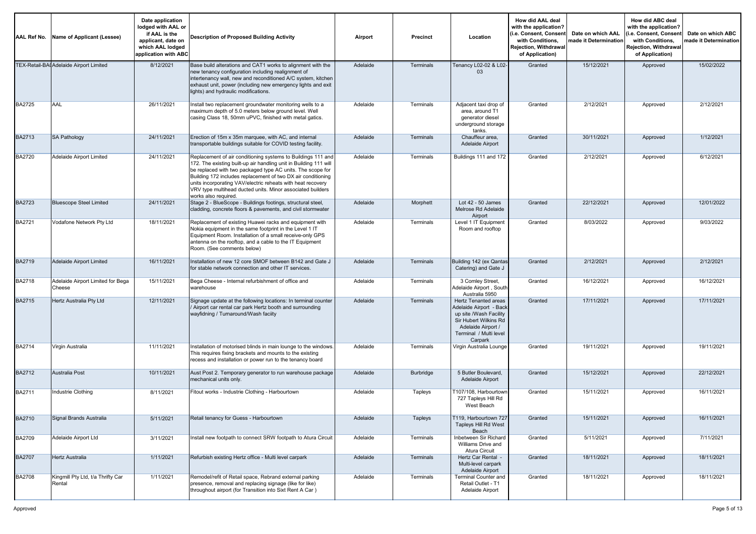| AAL Ref No.   | Name of Applicant (Lessee)                  | Date application<br>lodged with AAL or<br>if AAL is the<br>applicant, date on<br>which AAL lodged<br>application with ABC | Description of Proposed Building Activity                                                                                                                                                                                                                                                                                                                                                                            | Airport  | Precinct         | Location                                                                                                                                                             | How did AAL deal<br>with the application?<br>(i.e. Consent, Consent<br>with Conditions.<br>Reiection. Withdrawal<br>of Application) | Date on which AAL<br>nade it Determination | How did ABC deal<br>with the application?<br>(i.e. Consent, Consen<br>with Conditions,<br>Rejection, Withdrawal<br>of Application) | Date on which ABC<br>made it Determination |
|---------------|---------------------------------------------|---------------------------------------------------------------------------------------------------------------------------|----------------------------------------------------------------------------------------------------------------------------------------------------------------------------------------------------------------------------------------------------------------------------------------------------------------------------------------------------------------------------------------------------------------------|----------|------------------|----------------------------------------------------------------------------------------------------------------------------------------------------------------------|-------------------------------------------------------------------------------------------------------------------------------------|--------------------------------------------|------------------------------------------------------------------------------------------------------------------------------------|--------------------------------------------|
|               | TEX-Retail-BAI Adelaide Airport Limited     | 8/12/2021                                                                                                                 | Base build alterations and CAT1 works to alignment with the<br>new tenancy configuration including realignment of<br>intertenancy wall, new and reconditioned A/C system, kitchen<br>exhaust unit, power (including new emergency lights and exit<br>lights) and hydraulic modifications.                                                                                                                            | Adelaide | <b>Terminals</b> | Tenancy L02-02 & L02-<br>03                                                                                                                                          | Granted                                                                                                                             | 15/12/2021                                 | Approved                                                                                                                           | 15/02/2022                                 |
| BA2725        | AAL                                         | 26/11/2021                                                                                                                | Install two replacement groundwater monitoring wells to a<br>maximum depth of 5.0 meters below ground level. Well<br>casing Class 18, 50mm uPVC, finished with metal gatics.                                                                                                                                                                                                                                         | Adelaide | Terminals        | Adjacent taxi drop of<br>area, around T1<br>generator diesel<br>underground storage<br>tanks.                                                                        | Granted                                                                                                                             | 2/12/2021                                  | Approved                                                                                                                           | 2/12/2021                                  |
| BA2713        | <b>SA Pathology</b>                         | 24/11/2021                                                                                                                | Erection of 15m x 35m marquee, with AC, and internal<br>transportable buildings suitable for COVID testing facility.                                                                                                                                                                                                                                                                                                 | Adelaide | Terminals        | Chauffeur area,<br>Adelaide Airport                                                                                                                                  | Granted                                                                                                                             | 30/11/2021                                 | Approved                                                                                                                           | 1/12/2021                                  |
| <b>BA2720</b> | Adelaide Airport Limited                    | 24/11/2021                                                                                                                | Replacement of air conditioning systems to Buildings 111 and<br>172. The existing built-up air handling unit in Building 111 will<br>be replaced with two packaged type AC units. The scope for<br>Building 172 includes replacement of two DX air conditioning<br>units incorporating VAV/electric reheats with heat recovery<br>VRV type multihead ducted units. Minor associated builders<br>works also required. | Adelaide | Terminals        | Buildings 111 and 172                                                                                                                                                | Granted                                                                                                                             | 2/12/2021                                  | Approved                                                                                                                           | 6/12/2021                                  |
| <b>BA2723</b> | <b>Bluescope Steel Limited</b>              | 24/11/2021                                                                                                                | Stage 2 - BlueScope - Buildings footings, structural steel,<br>cladding, concrete floors & pavements, and civil stormwater                                                                                                                                                                                                                                                                                           | Adelaide | Morphett         | Lot $42 - 50$ James<br>Melrose Rd Adelaide<br>Airport                                                                                                                | Granted                                                                                                                             | 22/12/2021                                 | Approved                                                                                                                           | 12/01/2022                                 |
| BA2721        | Vodafone Network Ptv Ltd                    | 18/11/2021                                                                                                                | Replacement of existing Huawei racks and equipment with<br>Nokia equipment in the same footprint in the Level 1 IT<br>Equipment Room. Installation of a small receive-only GPS<br>antenna on the rooftop, and a cable to the IT Equipment<br>Room. (See comments below)                                                                                                                                              | Adelaide | Terminals        | Level 1 IT Equipment<br>Room and rooftop                                                                                                                             | Granted                                                                                                                             | 8/03/2022                                  | Approved                                                                                                                           | 9/03/2022                                  |
| BA2719        | Adelaide Airport Limited                    | 16/11/2021                                                                                                                | Installation of new 12 core SMOF between B142 and Gate J<br>for stable network connection and other IT services.                                                                                                                                                                                                                                                                                                     | Adelaide | Terminals        | Building 142 (ex Qantas<br>Catering) and Gate J                                                                                                                      | Granted                                                                                                                             | 2/12/2021                                  | Approved                                                                                                                           | 2/12/2021                                  |
| BA2718        | Adelaide Airport Limited for Bega<br>Cheese | 15/11/2021                                                                                                                | Bega Cheese - Internal refurbishment of office and<br>warehouse                                                                                                                                                                                                                                                                                                                                                      | Adelaide | Terminals        | 3 Comley Street,<br>Adelaide Airport, South<br>Australia 5950                                                                                                        | Granted                                                                                                                             | 16/12/2021                                 | Approved                                                                                                                           | 16/12/2021                                 |
| BA2715        | Hertz Australia Pty Ltd                     | 12/11/2021                                                                                                                | Signage update at the following locations: In terminal counter<br>Airport car rental car park Hertz booth and surrounding<br>wayfidning / Turnaround/Wash faciity                                                                                                                                                                                                                                                    | Adelaide | <b>Terminals</b> | <b>Hertz Tenanted areas</b><br>Adelaide Airport - Back<br>up site /Wash Facility<br>Sir Hubert Wilkins Rd<br>Adelaide Airport /<br>Terminal / Multi level<br>Carpark | Granted                                                                                                                             | 17/11/2021                                 | Approved                                                                                                                           | 17/11/2021                                 |
| BA2714        | Virgin Australia                            | 11/11/2021                                                                                                                | Installation of motorised blinds in main lounge to the windows.<br>This requires fixing brackets and mounts to the existing<br>recess and installation or power run to the tenancy board                                                                                                                                                                                                                             | Adelaide | Terminals        | Virgin Australia Lounge                                                                                                                                              | Granted                                                                                                                             | 19/11/2021                                 | Approved                                                                                                                           | 19/11/2021                                 |
| BA2712        | Australia Post                              | 10/11/2021                                                                                                                | Aust Post 2. Temporary generator to run warehouse package<br>mechanical units only.                                                                                                                                                                                                                                                                                                                                  | Adelaide | Burbridge        | 5 Butler Boulevard,<br>Adelaide Airport                                                                                                                              | Granted                                                                                                                             | 15/12/2021                                 | Approved                                                                                                                           | 22/12/2021                                 |
| BA2711        | Industrie Clothing                          | 8/11/2021                                                                                                                 | Fitout works - Industrie Clothing - Harbourtown                                                                                                                                                                                                                                                                                                                                                                      | Adelaide | Tapleys          | T107/108, Harbourtown<br>727 Tapleys Hill Rd<br>West Beach                                                                                                           | Granted                                                                                                                             | 15/11/2021                                 | Approved                                                                                                                           | 16/11/2021                                 |
| <b>BA2710</b> | Signal Brands Australia                     | 5/11/2021                                                                                                                 | Retail tenancy for Guess - Harbourtown                                                                                                                                                                                                                                                                                                                                                                               | Adelaide | Tapleys          | T119, Harbourtown 727<br>Tapleys Hill Rd West<br>Beach                                                                                                               | Granted                                                                                                                             | 15/11/2021                                 | Approved                                                                                                                           | 16/11/2021                                 |
| <b>BA2709</b> | Adelaide Airport Ltd                        | 3/11/2021                                                                                                                 | Install new footpath to connect SRW footpath to Atura Circuit                                                                                                                                                                                                                                                                                                                                                        | Adelaide | Terminals        | Inbetween Sir Richard<br>Williams Drive and<br>Atura Circuit                                                                                                         | Granted                                                                                                                             | 5/11/2021                                  | Approved                                                                                                                           | 7/11/2021                                  |
| <b>BA2707</b> | <b>Hertz Australia</b>                      | 1/11/2021                                                                                                                 | Refurbish existing Hertz office - Multi level carpark                                                                                                                                                                                                                                                                                                                                                                | Adelaide | Terminals        | Hertz Car Rental -<br>Multi-level carpark<br>Adelaide Airport                                                                                                        | Granted                                                                                                                             | 18/11/2021                                 | Approved                                                                                                                           | 18/11/2021                                 |
| <b>BA2708</b> | Kingmill Pty Ltd, t/a Thrifty Car<br>Rental | 1/11/2021                                                                                                                 | Remodel/refit of Retail space, Rebrand external parking<br>presence, removal and replacing signage (like for like)<br>throughout airport (for Transition into Sixt Rent A Car)                                                                                                                                                                                                                                       | Adelaide | Terminals        | Terminal Counter and<br>Retail Outlet - T1<br>Adelaide Airport                                                                                                       | Granted                                                                                                                             | 18/11/2021                                 | Approved                                                                                                                           | 18/11/2021                                 |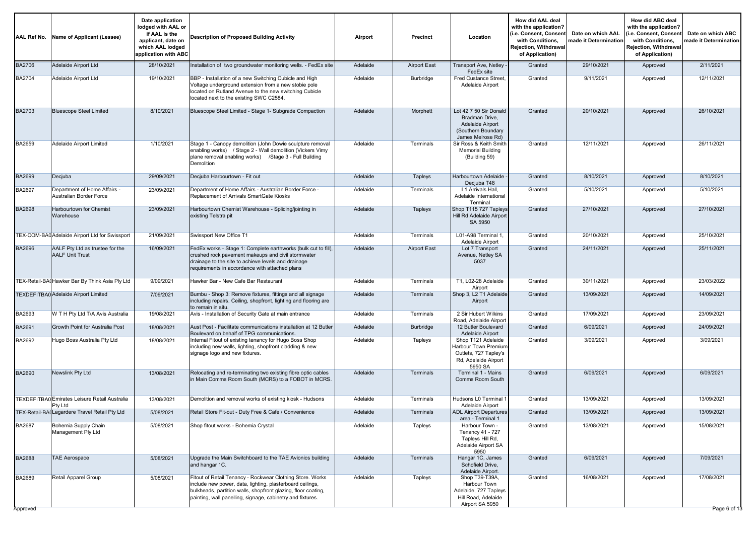| <b>AAL Ref No.</b> | Name of Applicant (Lessee)                                      | Date application<br>lodged with AAL or<br>if AAL is the<br>applicant, date on<br>which AAL lodged<br>application with ABC | <b>Description of Proposed Building Activity</b>                                                                                                                                                                                                      | Airport  | <b>Precinct</b>     | Location                                                                                                | How did AAL deal<br>with the application?<br>i.e. Consent, Consent<br>with Conditions,<br>Rejection, Withdrawal<br>of Application) | Date on which AAL<br>made it Determination | How did ABC deal<br>with the application?<br>(i.e. Consent, Consen<br>with Conditions,<br>Rejection, Withdrawal<br>of Application) | Date on which ABC<br>made it Determination |
|--------------------|-----------------------------------------------------------------|---------------------------------------------------------------------------------------------------------------------------|-------------------------------------------------------------------------------------------------------------------------------------------------------------------------------------------------------------------------------------------------------|----------|---------------------|---------------------------------------------------------------------------------------------------------|------------------------------------------------------------------------------------------------------------------------------------|--------------------------------------------|------------------------------------------------------------------------------------------------------------------------------------|--------------------------------------------|
| <b>BA2706</b>      | Adelaide Airport Ltd                                            | 28/10/2021                                                                                                                | Installation of two groundwater monitoring wells. - FedEx site                                                                                                                                                                                        | Adelaide | <b>Airport East</b> | Transport Ave, Netley<br>FedEx site                                                                     | Granted                                                                                                                            | 29/10/2021                                 | Approved                                                                                                                           | 2/11/2021                                  |
| <b>BA2704</b>      | Adelaide Airport Ltd                                            | 19/10/2021                                                                                                                | BBP - Installation of a new Switching Cubicle and High<br>Voltage underground extension from a new stobie pole<br>located on Rutland Avenue to the new switching Cubicle<br>located next to the existing SWC C2584.                                   | Adelaide | Burbridge           | <b>Fred Custance Street</b><br>Adelaide Airport                                                         | Granted                                                                                                                            | 9/11/2021                                  | Approved                                                                                                                           | 12/11/2021                                 |
| <b>BA2703</b>      | <b>Bluescope Steel Limited</b>                                  | 8/10/2021                                                                                                                 | Bluescope Steel Limited - Stage 1- Subgrade Compaction                                                                                                                                                                                                | Adelaide | Morphett            | Lot 42 7 50 Sir Donald<br>Bradman Drive,<br>Adelaide Airport<br>(Southern Boundary<br>James Melrose Rd) | Granted                                                                                                                            | 20/10/2021                                 | Approved                                                                                                                           | 26/10/2021                                 |
| <b>BA2659</b>      | Adelaide Airport Limited                                        | 1/10/2021                                                                                                                 | Stage 1 - Canopy demolition (John Dowie sculpture removal<br>enabling works) / Stage 2 - Wall demolition (Vickers Vimy<br>plane removal enabling works) / Stage 3 - Full Building<br>Demolition                                                       | Adelaide | Terminals           | Sir Ross & Keith Smith<br><b>Memorial Building</b><br>(Building 59)                                     | Granted                                                                                                                            | 12/11/2021                                 | Approved                                                                                                                           | 26/11/2021                                 |
| <b>BA2699</b>      | Decjuba                                                         | 29/09/2021                                                                                                                | Decjuba Harbourtown - Fit out                                                                                                                                                                                                                         | Adelaide | Tapleys             | Harbourtown Adelaide<br>Decjuba T48                                                                     | Granted                                                                                                                            | 8/10/2021                                  | Approved                                                                                                                           | 8/10/2021                                  |
| BA2697             | Department of Home Affairs -<br>Australian Border Force         | 23/09/2021                                                                                                                | Department of Home Affairs - Australian Border Force -<br>Replacement of Arrivals SmartGate Kiosks                                                                                                                                                    | Adelaide | Terminals           | L1 Arrivals Hall,<br>Adelaide International<br>Terminal                                                 | Granted                                                                                                                            | 5/10/2021                                  | Approved                                                                                                                           | 5/10/2021                                  |
| BA2698             | <b>Harbourtown for Chemist</b><br>Warehouse                     | 23/09/2021                                                                                                                | Harbourtown Chemist Warehouse - Splicing/jointing in<br>existing Telstra pit                                                                                                                                                                          | Adelaide | Tapleys             | Shop T115 727 Tapleys<br>Hill Rd Adelaide Airport<br>SA 5950                                            | Granted                                                                                                                            | 27/10/2021                                 | Approved                                                                                                                           | 27/10/2021                                 |
|                    | TEX-COM-BAI Adelaide Airport Ltd for Swissport                  | 21/09/2021                                                                                                                | Swissport New Office T1                                                                                                                                                                                                                               | Adelaide | Terminals           | L01-A98 Terminal 1<br>Adelaide Airport                                                                  | Granted                                                                                                                            | 20/10/2021                                 | Approved                                                                                                                           | 25/10/2021                                 |
| <b>BA2696</b>      | AALF Pty Ltd as trustee for the<br><b>AALF Unit Trust</b>       | 16/09/2021                                                                                                                | FedEx works - Stage 1: Complete earthworks (bulk cut to fill),<br>crushed rock pavement makeups and civil stormwater<br>drainage to the site to achieve levels and drainage<br>requirements in accordance with attached plans                         | Adelaide | <b>Airport East</b> | Lot 7 Transport<br>Avenue, Netley SA<br>5037                                                            | Granted                                                                                                                            | 24/11/2021                                 | Approved                                                                                                                           | 25/11/2021                                 |
|                    | TEX-Retail-BAI Hawker Bar By Think Asia Ply Ltd                 | 9/09/2021                                                                                                                 | Hawker Bar - New Cafe Bar Restaurant                                                                                                                                                                                                                  | Adelaide | Terminals           | T1. L02-28 Adelaide<br>Airport                                                                          | Granted                                                                                                                            | 30/11/2021                                 | Approved                                                                                                                           | 23/03/2022                                 |
|                    | TEXDEFITBA0 Adelaide Airport Limited                            | 7/09/2021                                                                                                                 | Bumbu - Shop 3: Remove fixtures, fittings and all signage<br>including repairs. Ceiling, shopfront, lighting and flooring are<br>to remain in situ.                                                                                                   | Adelaide | Terminals           | Shop 3, L2 T1 Adelaide<br>Airport                                                                       | Granted                                                                                                                            | 13/09/2021                                 | Approved                                                                                                                           | 14/09/2021                                 |
| BA2693             | W T H Pty Ltd T/A Avis Australia                                | 19/08/2021                                                                                                                | Avis - Installation of Security Gate at main entrance                                                                                                                                                                                                 | Adelaide | Terminals           | 2 Sir Hubert Wilkins<br>Road, Adelaide Airport                                                          | Granted                                                                                                                            | 17/09/2021                                 | Approved                                                                                                                           | 23/09/2021                                 |
| BA2691             | Growth Point for Australia Post                                 | 18/08/2021                                                                                                                | Aust Post - Facilitate communications installation at 12 Butler<br>Boulevard on behalf of TPG communications.                                                                                                                                         | Adelaide | Burbridge           | 12 Butler Boulevard<br>Adelaide Airport                                                                 | Granted                                                                                                                            | 6/09/2021                                  | Approved                                                                                                                           | 24/09/2021                                 |
| BA2692             | Hugo Boss Australia Pty Ltd                                     | 18/08/2021                                                                                                                | Internal Fitout of existing tenancy for Hugo Boss Shop<br>including new walls, lighting, shopfront cladding & new<br>signage logo and new fixtures.                                                                                                   | Adelaide | Tapleys             | Shop T121 Adelaide<br>Harbour Town Premium<br>Outlets, 727 Tapley's<br>Rd, Adelaide Airport<br>5950 SA  | Granted                                                                                                                            | 3/09/2021                                  | Approved                                                                                                                           | 3/09/2021                                  |
| BA2690             | Newslink Pty Ltd                                                | 13/08/2021                                                                                                                | Relocating and re-terminating two existing fibre optic cables<br>in Main Comms Room South (MCRS) to a FOBOT in MCRS.                                                                                                                                  | Adelaide | Terminals           | Terminal 1 - Mains<br>Comms Room South                                                                  | Granted                                                                                                                            | 6/09/2021                                  | Approved                                                                                                                           | 6/09/2021                                  |
|                    | <b>TEXDEFITBA0</b> Emirates Leisure Retail Australia<br>Pty Ltd | 13/08/2021                                                                                                                | Demolition and removal works of existing kiosk - Hudsons                                                                                                                                                                                              | Adelaide | Terminals           | Hudsons L0 Terminal<br>Adelaide Airport                                                                 | Granted                                                                                                                            | 13/09/2021                                 | Approved                                                                                                                           | 13/09/2021                                 |
|                    | TEX-Retail-BAI Lagardere Travel Retail Pty Ltd                  | 5/08/2021                                                                                                                 | Retail Store Fit-out - Duty Free & Cafe / Convenience                                                                                                                                                                                                 | Adelaide | Terminals           | <b>ADL Airport Departures</b><br>area - Terminal 1                                                      | Granted                                                                                                                            | 13/09/2021                                 | Approved                                                                                                                           | 13/09/2021                                 |
| <b>BA2687</b>      | Bohemia Supply Chain<br>Management Ply Ltd                      | 5/08/2021                                                                                                                 | Shop fitout works - Bohemia Crystal                                                                                                                                                                                                                   | Adelaide | Tapleys             | Harbour Town -<br><b>Tenancy 41 - 727</b><br>Tapleys Hill Rd,<br>Adelaide Airport SA<br>5950            | Granted                                                                                                                            | 13/08/2021                                 | Approved                                                                                                                           | 15/08/2021                                 |
| <b>BA2688</b>      | <b>TAE Aerospace</b>                                            | 5/08/2021                                                                                                                 | Upgrade the Main Switchboard to the TAE Avionics building<br>and hangar 1C.                                                                                                                                                                           | Adelaide | Terminals           | Hangar 1C, James<br>Schofield Drive.<br>Adelaide Airport.                                               | Granted                                                                                                                            | 6/09/2021                                  | Approved                                                                                                                           | 7/09/2021                                  |
| BA2689<br>Approved | Retail Apparel Group                                            | 5/08/2021                                                                                                                 | Fitout of Retail Tenancy - Rockwear Clothing Store. Works<br>include new power, data, lighting, plasterboard ceilings,<br>bulkheads, partition walls, shopfront glazing, floor coating,<br>painting, wall panelling, signage, cabinetry and fixtures. | Adelaide | Tapleys             | Shop T39-T39A,<br>Harbour Town<br>Adelaide, 727 Tapleys<br>Hill Road, Adelaide<br>Airport SA 5950       | Granted                                                                                                                            | 16/08/2021                                 | Approved                                                                                                                           | 17/08/2021<br>Page 6 of 13                 |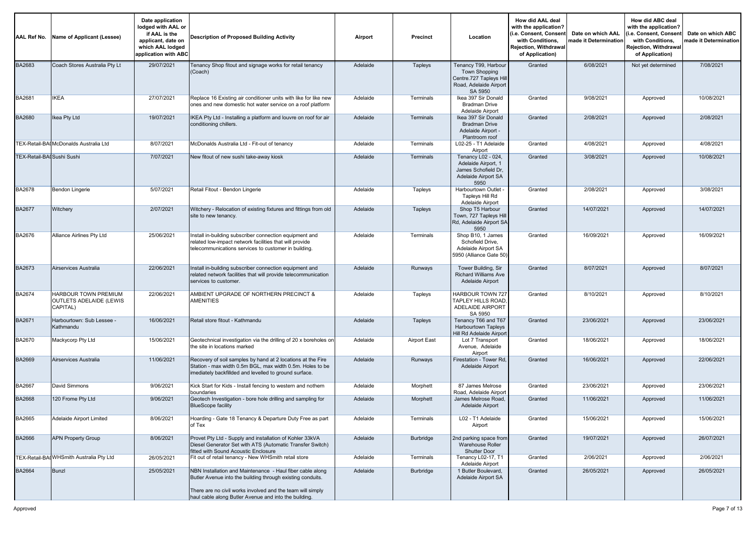| AAL Ref No.                | Name of Applicant (Lessee)                                  | Date application<br>lodged with AAL or<br>if AAL is the<br>applicant, date on<br>which AAL lodged<br>application with ABC | <b>Description of Proposed Building Activity</b>                                                                                                                                   | Airport  | Precinct         | Location                                                                                              | How did AAL deal<br>with the application?<br>i.e. Consent, Consent)<br>with Conditions.<br>Rejection, Withdrawal<br>of Application) | Date on which AAL<br>nade it Determination | How did ABC deal<br>with the application?<br>i.e. Consent, Consent<br>with Conditions,<br>Rejection, Withdrawal<br>of Application) | Date on which ABC<br>nade it Determination |
|----------------------------|-------------------------------------------------------------|---------------------------------------------------------------------------------------------------------------------------|------------------------------------------------------------------------------------------------------------------------------------------------------------------------------------|----------|------------------|-------------------------------------------------------------------------------------------------------|-------------------------------------------------------------------------------------------------------------------------------------|--------------------------------------------|------------------------------------------------------------------------------------------------------------------------------------|--------------------------------------------|
| <b>BA2683</b>              | Coach Stores Australia Pty Lt                               | 29/07/2021                                                                                                                | Tenancy Shop fitout and signage works for retail tenancy<br>(Coach)                                                                                                                | Adelaide | Tapleys          | Tenancy T99, Harbour<br>Town Shopping<br>Centre.727 Tapleys Hill<br>Road, Adelaide Airport<br>SA 5950 | Granted                                                                                                                             | 6/08/2021                                  | Not yet determined                                                                                                                 | 7/08/2021                                  |
| BA2681                     | <b>IKEA</b>                                                 | 27/07/2021                                                                                                                | Replace 16 Existing air conditioner units with like for like new<br>ones and new domestic hot water service on a roof platform                                                     | Adelaide | Terminals        | Ikea 397 Sir Donald<br><b>Bradman Drive</b><br>Adelaide Airport                                       | Granted                                                                                                                             | 9/08/2021                                  | Approved                                                                                                                           | 10/08/2021                                 |
| BA2680                     | Ikea Pty Ltd                                                | 19/07/2021                                                                                                                | IKEA Pty Ltd - Installing a platform and louvre on roof for air<br>conditioning chillers.                                                                                          | Adelaide | Terminals        | Ikea 397 Sir Donald<br><b>Bradman Drive</b><br>Adelaide Airport -<br>Plantroom roof                   | Granted                                                                                                                             | 2/08/2021                                  | Approved                                                                                                                           | 2/08/2021                                  |
|                            | TEX-Retail-BAI McDonalds Australia Ltd                      | 8/07/2021                                                                                                                 | McDonalds Australia Ltd - Fit-out of tenancy                                                                                                                                       | Adelaide | Terminals        | L02-25 - T1 Adelaide<br>Airport                                                                       | Granted                                                                                                                             | 4/08/2021                                  | Approved                                                                                                                           | 4/08/2021                                  |
| TEX-Retail-BAI Sushi Sushi |                                                             | 7/07/2021                                                                                                                 | New fitout of new sushi take-away kiosk                                                                                                                                            | Adelaide | <b>Terminals</b> | Tenancy L02 - 024,<br>Adelaide Airport, 1<br>James Schofield Dr,<br>Adelaide Airport SA<br>5950       | Granted                                                                                                                             | 3/08/2021                                  | Approved                                                                                                                           | 10/08/2021                                 |
| <b>BA2678</b>              | <b>Bendon Lingerie</b>                                      | 5/07/2021                                                                                                                 | Retail Fitout - Bendon Lingerie                                                                                                                                                    | Adelaide | Tapleys          | Harbourtown Outlet<br>Tapleys Hill Rd<br>Adelaide Airport                                             | Granted                                                                                                                             | 2/08/2021                                  | Approved                                                                                                                           | 3/08/2021                                  |
| <b>BA2677</b>              | Witchery                                                    | 2/07/2021                                                                                                                 | Witchery - Relocation of existing fixtures and fittings from old<br>site to new tenancy.                                                                                           | Adelaide | Tapleys          | Shop T5 Harbour<br>Town, 727 Tapleys Hill<br>Rd, Adelaide Airport SA<br>5950                          | Granted                                                                                                                             | 14/07/2021                                 | Approved                                                                                                                           | 14/07/2021                                 |
| BA2676                     | Alliance Airlines Pty Ltd                                   | 25/06/2021                                                                                                                | Install in-building subscriber connection equipment and<br>related low-impact network facilities that will provide<br>telecommunications services to customer in building.         | Adelaide | Terminals        | Shop B10, 1 James<br>Schofield Drive,<br>Adelaide Airport SA<br>5950 (Alliance Gate 50)               | Granted                                                                                                                             | 16/09/2021                                 | Approved                                                                                                                           | 16/09/2021                                 |
| BA2673                     | Airservices Australia                                       | 22/06/2021                                                                                                                | Install in-building subscriber connection equipment and<br>related network facilities that will provide telecommunication<br>services to customer.                                 | Adelaide | Runways          | Tower Building, Sir<br><b>Richard Williams Ave</b><br>Adelaide Airport                                | Granted                                                                                                                             | 8/07/2021                                  | Approved                                                                                                                           | 8/07/2021                                  |
| BA2674                     | HARBOUR TOWN PREMIUM<br>OUTLETS ADELAIDE (LEWIS<br>CAPITAL) | 22/06/2021                                                                                                                | AMBIENT UPGRADE OF NORTHERN PRECINCT &<br><b>AMENITIES</b>                                                                                                                         | Adelaide | Tapleys          | HARBOUR TOWN 727<br>TAPLEY HILLS ROAD,<br>ADELAIDE AIRPORT<br>SA 5950                                 | Granted                                                                                                                             | 8/10/2021                                  | Approved                                                                                                                           | 8/10/2021                                  |
| BA2671                     | Harbourtown: Sub Lessee -<br>Kathmandu                      | 16/06/2021                                                                                                                | Retail store fitout - Kathmandu                                                                                                                                                    | Adelaide | Tapleys          | Tenancy T66 and T67<br><b>Harbourtown Tapleys</b><br>Hill Rd Adelaide Airport                         | Granted                                                                                                                             | 23/06/2021                                 | Approved                                                                                                                           | 23/06/2021                                 |
| BA2670                     | Mackycorp Pty Ltd                                           | 15/06/2021                                                                                                                | Geotechnical investigation via the drilling of 20 x boreholes on<br>the site in locations marked                                                                                   | Adelaide | Airport East     | Lot 7 Transport<br>Avenue, Adelaide<br>Airport                                                        | Granted                                                                                                                             | 18/06/2021                                 | Approved                                                                                                                           | 18/06/2021                                 |
| <b>BA2669</b>              | Airservices Australia                                       | 11/06/2021                                                                                                                | Recovery of soil samples by hand at 2 locations at the Fire<br>Station - max width 0.5m BGL, max width 0.5m. Holes to be<br>imediately backfillded and levelled to ground surface. | Adelaide | Runways          | Firestation - Tower Rd,<br>Adelaide Airport                                                           | Granted                                                                                                                             | 16/06/2021                                 | Approved                                                                                                                           | 22/06/2021                                 |
| <b>BA2667</b>              | David Simmons                                               | 9/06/2021                                                                                                                 | Kick Start for Kids - Install fencing to western and nothern<br>boundaries                                                                                                         | Adelaide | Morphett         | 87 James Melrose<br>Road, Adelaide Airport                                                            | Granted                                                                                                                             | 23/06/2021                                 | Approved                                                                                                                           | 23/06/2021                                 |
| <b>BA2668</b>              | 120 Frome Pty Ltd                                           | 9/06/2021                                                                                                                 | Geotech Investigation - bore hole drilling and sampling for<br><b>BlueScope facility</b>                                                                                           | Adelaide | Morphett         | James Melrose Road,<br>Adelaide Airport                                                               | Granted                                                                                                                             | 11/06/2021                                 | Approved                                                                                                                           | 11/06/2021                                 |
| <b>BA2665</b>              | Adelaide Airport Limited                                    | 8/06/2021                                                                                                                 | Hoarding - Gate 18 Tenancy & Departure Duty Free as part<br>of Tex                                                                                                                 | Adelaide | Terminals        | L02 - T1 Adelaide<br>Airport                                                                          | Granted                                                                                                                             | 15/06/2021                                 | Approved                                                                                                                           | 15/06/2021                                 |
| <b>BA2666</b>              | <b>APN Property Group</b>                                   | 8/06/2021                                                                                                                 | Provet Pty Ltd - Supply and installation of Kohler 33kVA<br>Diesel Generator Set with ATS (Automatic Transfer Switch)<br>fitted with Sound Acoustic Enclosure                      | Adelaide | Burbridge        | 2nd parking space from<br>Warehouse Roller<br><b>Shutter Door</b>                                     | Granted                                                                                                                             | 19/07/2021                                 | Approved                                                                                                                           | 26/07/2021                                 |
|                            | TEX-Retail-BAI WHSmith Australia Pty Ltd                    | 26/05/2021                                                                                                                | Fit out of retail tenancy - New WHSmith retail store                                                                                                                               | Adelaide | Terminals        | Tenancy L02-17, T1<br>Adelaide Airport                                                                | Granted                                                                                                                             | 2/06/2021                                  | Approved                                                                                                                           | 2/06/2021                                  |
| <b>BA2664</b>              | Bunzl                                                       | 25/05/2021                                                                                                                | NBN Installation and Maintenance - Haul fiber cable along<br>Butler Avenue into the building through existing conduits.                                                            | Adelaide | Burbridge        | 1 Butler Boulevard,<br>Adelaide Airport SA                                                            | Granted                                                                                                                             | 26/05/2021                                 | Approved                                                                                                                           | 26/05/2021                                 |
|                            |                                                             |                                                                                                                           | There are no civil works involved and the team will simply<br>haul cable along Butler Avenue and into the building.                                                                |          |                  |                                                                                                       |                                                                                                                                     |                                            |                                                                                                                                    |                                            |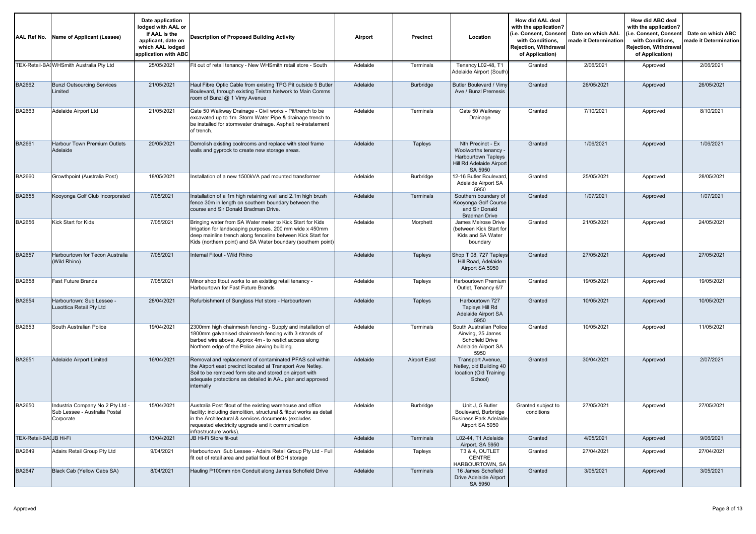| <b>AAL Ref No.</b>     | Name of Applicant (Lessee)                                                   | Date application<br>lodged with AAL or<br>if AAL is the<br>applicant, date on<br>which AAL lodged<br>application with ABC | <b>Description of Proposed Building Activity</b>                                                                                                                                                                                                                         | Airport  | Precinct            | Location                                                                                                | How did AAL deal<br>with the application?<br>(i.e. Consent, Consent<br>with Conditions.<br><b>Rejection. Withdrawal</b><br>of Application) | Date on which AAL<br>nade it Determination | How did ABC deal<br>with the application?<br>(i.e. Consent, Consen<br>with Conditions.<br>Rejection, Withdrawal<br>of Application) | Date on which ABC<br>nade it Determination |
|------------------------|------------------------------------------------------------------------------|---------------------------------------------------------------------------------------------------------------------------|--------------------------------------------------------------------------------------------------------------------------------------------------------------------------------------------------------------------------------------------------------------------------|----------|---------------------|---------------------------------------------------------------------------------------------------------|--------------------------------------------------------------------------------------------------------------------------------------------|--------------------------------------------|------------------------------------------------------------------------------------------------------------------------------------|--------------------------------------------|
|                        | TEX-Retail-BAI WHSmith Australia Pty Ltd                                     | 25/05/2021                                                                                                                | Fit out of retail tenancy - New WHSmith retail store - South                                                                                                                                                                                                             | Adelaide | Terminals           | Tenancy L02-48, T1<br>Adelaide Airport (South)                                                          | Granted                                                                                                                                    | 2/06/2021                                  | Approved                                                                                                                           | 2/06/2021                                  |
| BA2662                 | <b>Bunzl Outsourcing Services</b><br>Limited                                 | 21/05/2021                                                                                                                | Haul Fibre Optic Cable from existing TPG Pit outside 5 Butler<br>Boulevard, through existing Telstra Network to Main Comms<br>room of Bunzl @ 1 Vimy Avenue                                                                                                              | Adelaide | Burbridge           | Butler Boulevard / Vimy<br>Ave / Bunzl Premesis                                                         | Granted                                                                                                                                    | 26/05/2021                                 | Approved                                                                                                                           | 26/05/2021                                 |
| BA2663                 | Adelaide Airport Ltd                                                         | 21/05/2021                                                                                                                | Gate 50 Walkway Drainage - Civil works - Pit/trench to be<br>excavated up to 1m. Storm Water Pipe & drainage trench to<br>be installed for stormwater drainage. Asphalt re-instatement<br>of trench.                                                                     | Adelaide | Terminals           | Gate 50 Walkwav<br>Drainage                                                                             | Granted                                                                                                                                    | 7/10/2021                                  | Approved                                                                                                                           | 8/10/2021                                  |
| <b>BA2661</b>          | <b>Harbour Town Premium Outlets</b><br>Adelaide                              | 20/05/2021                                                                                                                | Demolish existing coolrooms and replace with steel frame<br>walls and gyprock to create new storage areas.                                                                                                                                                               | Adelaide | Tapleys             | Nth Precinct - Ex<br>Woolworths tenancy -<br>Harbourtown Tapleys<br>Hill Rd Adelaide Airport<br>SA 5950 | Granted                                                                                                                                    | 1/06/2021                                  | Approved                                                                                                                           | 1/06/2021                                  |
| BA2660                 | Growthpoint (Australia Post)                                                 | 18/05/2021                                                                                                                | Installation of a new 1500kVA pad mounted transformer                                                                                                                                                                                                                    | Adelaide | Burbridge           | 2-16 Butler Boulevard<br>Adelaide Airport SA<br>5950                                                    | Granted                                                                                                                                    | 25/05/2021                                 | Approved                                                                                                                           | 28/05/2021                                 |
| <b>BA2655</b>          | Kooyonga Golf Club Incorporated                                              | 7/05/2021                                                                                                                 | Installation of a 1m high retaining wall and 2.1m high brush<br>fence 30m in length on southern boundary between the<br>course and Sir Donald Bradman Drive.                                                                                                             | Adelaide | Terminals           | Southern boundary of<br>Kooyonga Golf Course<br>and Sir Donald<br><b>Bradman Drive</b>                  | Granted                                                                                                                                    | 1/07/2021                                  | Approved                                                                                                                           | 1/07/2021                                  |
| BA2656                 | Kick Start for Kids                                                          | 7/05/2021                                                                                                                 | Bringing water from SA Water meter to Kick Start for Kids<br>Irrigation for landscaping purposes. 200 mm wide x 450mm<br>deep mainline trench along fenceline between Kick Start for<br>Kids (northern point) and SA Water boundary (southern point)                     | Adelaide | Morphett            | James Melrose Drive<br>between Kick Start for<br>Kids and SA Water<br>boundary                          | Granted                                                                                                                                    | 21/05/2021                                 | Approved                                                                                                                           | 24/05/2021                                 |
| <b>BA2657</b>          | Harbourtown for Tecon Australia<br>(Wild Rhino)                              | 7/05/2021                                                                                                                 | Internal Fitout - Wild Rhino                                                                                                                                                                                                                                             | Adelaide | Tapleys             | Shop T 08, 727 Tapleys<br>Hill Road, Adelaide<br>Airport SA 5950                                        | Granted                                                                                                                                    | 27/05/2021                                 | Approved                                                                                                                           | 27/05/2021                                 |
| BA2658                 | <b>Fast Future Brands</b>                                                    | 7/05/2021                                                                                                                 | Minor shop fitout works to an existing retail tenancy -<br>Harbourtown for Fast Future Brands                                                                                                                                                                            | Adelaide | Tapleys             | Harbourtown Premium<br>Outlet, Tenancy 6/7                                                              | Granted                                                                                                                                    | 19/05/2021                                 | Approved                                                                                                                           | 19/05/2021                                 |
| <b>BA2654</b>          | Harbourtown: Sub Lessee -<br>Luxottica Retail Pty Ltd                        | 28/04/2021                                                                                                                | Refurbishment of Sunglass Hut store - Harbourtown                                                                                                                                                                                                                        | Adelaide | Tapleys             | Harbourtown 727<br>Tapleys Hill Rd<br>Adelaide Airport SA<br>5950                                       | Granted                                                                                                                                    | 10/05/2021                                 | Approved                                                                                                                           | 10/05/2021                                 |
| BA2653                 | South Australian Police                                                      | 19/04/2021                                                                                                                | 2300mm high chainmesh fencing - Supply and installation of<br>1800mm galvanised chainmesh fencing with 3 strands of<br>barbed wire above. Approx 4m - to restict access along<br>Northern edge of the Police airwing building.                                           | Adelaide | Terminals           | South Australian Police<br>Airwing, 25 James<br>Schofield Drive<br>Adelaide Airport SA<br>5950          | Granted                                                                                                                                    | 10/05/2021                                 | Approved                                                                                                                           | 11/05/2021                                 |
| BA2651                 | <b>Adelaide Airport Limited</b>                                              | 16/04/2021                                                                                                                | Removal and replacement of contaminated PFAS soil within<br>the Airport east precinct located at Transport Ave Netley.<br>Soil to be removed form site and stored on airport with<br>adequate protections as detailed in AAL plan and approved<br>internally             | Adelaide | <b>Airport East</b> | Transport Avenue,<br>Netley, old Building 40<br>location (Old Training<br>School)                       | Granted                                                                                                                                    | 30/04/2021                                 | Approved                                                                                                                           | 2/07/2021                                  |
| <b>BA2650</b>          | Industria Company No 2 Pty Ltd<br>Sub Lessee - Australia Postal<br>Corporate | 15/04/2021                                                                                                                | Australia Post fitout of the existing warehouse and office<br>facility: including demolition, structural & fitout works as detail<br>in the Architectural & services documents (excludes<br>requested electricity upgrade and it communication<br>infrastructure works). | Adelaide | Burbridge           | Unit J, 5 Butler<br>Boulevard, Burbridge<br><b>Business Park Adelaide</b><br>Airport SA 5950            | Granted subject to<br>conditions                                                                                                           | 27/05/2021                                 | Approved                                                                                                                           | 27/05/2021                                 |
| TEX-Retail-BAIJB Hi-Fi |                                                                              | 13/04/2021                                                                                                                | JB Hi-Fi Store fit-out                                                                                                                                                                                                                                                   | Adelaide | <b>Terminals</b>    | L02-44, T1 Adelaide<br>Airport, SA 5950                                                                 | Granted                                                                                                                                    | 4/05/2021                                  | Approved                                                                                                                           | 9/06/2021                                  |
| BA2649                 | Adairs Retail Group Pty Ltd                                                  | 9/04/2021                                                                                                                 | Harbourtown: Sub Lessee - Adairs Retail Group Pty Ltd - Full<br>fit out of retail area and patial fiout of BOH storage                                                                                                                                                   | Adelaide | Tapleys             | T3 & 4, OUTLET<br>CENTRE<br>HARBOURTOWN, SA                                                             | Granted                                                                                                                                    | 27/04/2021                                 | Approved                                                                                                                           | 27/04/2021                                 |
| <b>BA2647</b>          | Black Cab (Yellow Cabs SA)                                                   | 8/04/2021                                                                                                                 | Hauling P100mm nbn Conduit along James Schofield Drive                                                                                                                                                                                                                   | Adelaide | Terminals           | 16 James Schofield<br>Drive Adelaide Airport<br>SA 5950                                                 | Granted                                                                                                                                    | 3/05/2021                                  | Approved                                                                                                                           | 3/05/2021                                  |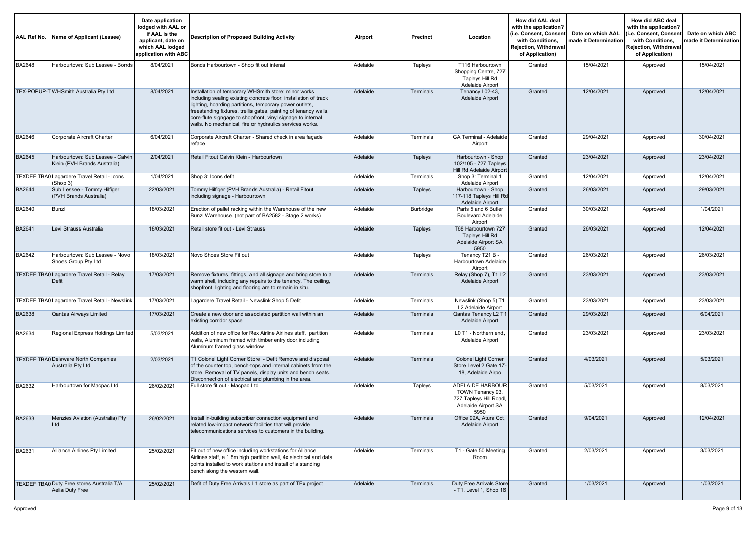|               | AAL Ref No. Name of Applicant (Lessee)                           | Date application<br>lodged with AAL or<br>if AAL is the<br>applicant, date on<br>which AAL lodged<br>application with ABC | Description of Proposed Building Activity                                                                                                                                                                                                                                                                                                                                         | Airport  | <b>Precinct</b> | Location                                                                                            | How did AAL deal<br>with the application?<br>(i.e. Consent, Consen<br>with Conditions,<br>Rejection, Withdrawal<br>of Application) | Date on which AAL<br>nade it Determination | How did ABC deal<br>with the application?<br>(i.e. Consent, Consent<br>with Conditions,<br><b>Rejection, Withdrawal</b><br>of Application) | Date on which ABC<br>nade it Determination |
|---------------|------------------------------------------------------------------|---------------------------------------------------------------------------------------------------------------------------|-----------------------------------------------------------------------------------------------------------------------------------------------------------------------------------------------------------------------------------------------------------------------------------------------------------------------------------------------------------------------------------|----------|-----------------|-----------------------------------------------------------------------------------------------------|------------------------------------------------------------------------------------------------------------------------------------|--------------------------------------------|--------------------------------------------------------------------------------------------------------------------------------------------|--------------------------------------------|
| <b>BA2648</b> | Harbourtown: Sub Lessee - Bonds                                  | 8/04/2021                                                                                                                 | Bonds Harbourtown - Shop fit out intenal                                                                                                                                                                                                                                                                                                                                          | Adelaide | Tapleys         | T116 Harbourtown<br>Shopping Centre, 727<br>Tapleys Hill Rd<br>Adelaide Airport                     | Granted                                                                                                                            | 15/04/2021                                 | Approved                                                                                                                                   | 15/04/2021                                 |
|               | TEX-POPUP-T WHSmith Australia Pty Ltd                            | 8/04/2021                                                                                                                 | Installation of temporary WHSmith store: minor works<br>including sealing existing concrete floor, installation of track<br>ighting, hoarding partitions, temporary power outlets,<br>freestanding fixtures, trellis gates, painting of tenancy walls,<br>core-flute signgage to shopfront, vinyl signage to internal<br>walls. No mechanical, fire or hydraulics services works. | Adelaide | Terminals       | Tenancy L02-43,<br>Adelaide Airport                                                                 | Granted                                                                                                                            | 12/04/2021                                 | Approved                                                                                                                                   | 12/04/2021                                 |
| BA2646        | Corporate Aircraft Charter                                       | 6/04/2021                                                                                                                 | Corporate Aircraft Charter - Shared check in area façade<br>reface                                                                                                                                                                                                                                                                                                                | Adelaide | Terminals       | <b>GA Terminal - Adelaide</b><br>Airport                                                            | Granted                                                                                                                            | 29/04/2021                                 | Approved                                                                                                                                   | 30/04/2021                                 |
| <b>BA2645</b> | Harbourtown: Sub Lessee - Calvin<br>Klein (PVH Brands Australia) | 2/04/2021                                                                                                                 | Retail Fitout Calvin Klein - Harbourtown                                                                                                                                                                                                                                                                                                                                          | Adelaide | Tapleys         | Harbourtown - Shop<br>102/105 - 727 Tapleys<br>Hill Rd Adelaide Airport                             | Granted                                                                                                                            | 23/04/2021                                 | Approved                                                                                                                                   | 23/04/2021                                 |
|               | TEXDEFITBAO Lagardere Travel Retail - Icons<br>(Shop 3)          | 1/04/2021                                                                                                                 | Shop 3: Icons defit                                                                                                                                                                                                                                                                                                                                                               | Adelaide | Terminals       | Shop 3: Terminal 1<br>Adelaide Airport                                                              | Granted                                                                                                                            | 12/04/2021                                 | Approved                                                                                                                                   | 12/04/2021                                 |
| <b>BA2644</b> | Sub Lessee - Tommy Hilfiger<br>(PVH Brands Australia)            | 22/03/2021                                                                                                                | Tommy Hilfiger (PVH Brands Australia) - Retail Fitout<br>ncluding signage - Harbourtown                                                                                                                                                                                                                                                                                           | Adelaide | Tapleys         | Harbourtown - Shop<br>117-118 Tapleys Hill Rd<br>Adelaide Airport                                   | Granted                                                                                                                            | 26/03/2021                                 | Approved                                                                                                                                   | 29/03/2021                                 |
| BA2640        | Bunzl                                                            | 18/03/2021                                                                                                                | Erection of pallet racking within the Warehouse of the new<br>Bunzl Warehouse. (not part of BA2582 - Stage 2 works)                                                                                                                                                                                                                                                               | Adelaide | Burbridge       | Parts 5 and 6 Butler<br><b>Boulevard Adelaide</b><br>Airport                                        | Granted                                                                                                                            | 30/03/2021                                 | Approved                                                                                                                                   | 1/04/2021                                  |
| BA2641        | Levi Strauss Australia                                           | 18/03/2021                                                                                                                | Retail store fit out - Levi Strauss                                                                                                                                                                                                                                                                                                                                               | Adelaide | Tapleys         | T68 Harbourtown 727<br>Tapleys Hill Rd<br>Adelaide Airport SA<br>5950                               | Granted                                                                                                                            | 26/03/2021                                 | Approved                                                                                                                                   | 12/04/2021                                 |
| BA2642        | Harbourtown: Sub Lessee - Novo<br>Shoes Group Pty Ltd            | 18/03/2021                                                                                                                | Novo Shoes Store Fit out                                                                                                                                                                                                                                                                                                                                                          | Adelaide | Tapleys         | Tenancy T21 B -<br>Harbourtown Adelaide<br>Airport                                                  | Granted                                                                                                                            | 26/03/2021                                 | Approved                                                                                                                                   | 26/03/2021                                 |
|               | TEXDEFITBA0 Lagardere Travel Retail - Relay<br>Defit             | 17/03/2021                                                                                                                | Remove fixtures, fittings, and all signage and bring store to a<br>warm shell, including any repairs to the tenancy. The ceiling,<br>shopfront, lighting and flooring are to remain in situ.                                                                                                                                                                                      | Adelaide | Terminals       | Relay (Shop 7), T1 L2<br>Adelaide Airport                                                           | Granted                                                                                                                            | 23/03/2021                                 | Approved                                                                                                                                   | 23/03/2021                                 |
|               | TEXDEFITBA0 Lagardere Travel Retail - Newslink                   | 17/03/2021                                                                                                                | Lagardere Travel Retail - Newslink Shop 5 Defit                                                                                                                                                                                                                                                                                                                                   | Adelaide | Terminals       | Newslink (Shop 5) T1<br>L2 Adelaide Airport                                                         | Granted                                                                                                                            | 23/03/2021                                 | Approved                                                                                                                                   | 23/03/2021                                 |
| BA2638        | <b>Qantas Airways Limited</b>                                    | 17/03/2021                                                                                                                | Create a new door and associated partition wall within an<br>existing corridor space                                                                                                                                                                                                                                                                                              | Adelaide | Terminals       | Qantas Tenancy L2 T1<br>Adelaide Airport                                                            | Granted                                                                                                                            | 29/03/2021                                 | Approved                                                                                                                                   | 6/04/2021                                  |
| BA2634        | Regional Express Holdings Limited                                | 5/03/2021                                                                                                                 | Addition of new office for Rex Airline Airlines staff, partition<br>walls, Aluminum framed with timber entry door, including<br>Aluminum framed glass window                                                                                                                                                                                                                      | Adelaide | Terminals       | L0 T1 - Northern end,<br>Adelaide Airport                                                           | Granted                                                                                                                            | 23/03/2021                                 | Approved                                                                                                                                   | 23/03/2021                                 |
|               | TEXDEFITBA0 Delaware North Companies<br>Australia Pty Ltd        | 2/03/2021                                                                                                                 | T1 Colonel Light Corner Store - Defit Remove and disposal<br>of the counter top, bench-tops and internal cabinets from the<br>store. Removal of TV panels, display units and bench seats.<br>Disconnection of electrical and plumbing in the area.                                                                                                                                | Adelaide | Terminals       | <b>Colonel Light Corner</b><br>Store Level 2 Gate 17-<br>18, Adelaide Airpo                         | Granted                                                                                                                            | 4/03/2021                                  | Approved                                                                                                                                   | 5/03/2021                                  |
| BA2632        | Harbourtown for Macpac Ltd                                       | 26/02/2021                                                                                                                | Full store fit out - Macpac Ltd                                                                                                                                                                                                                                                                                                                                                   | Adelaide | Tapleys         | <b>ADELAIDE HARBOUR</b><br>TOWN Tenancy 93,<br>727 Tapleys Hill Road<br>Adelaide Airport SA<br>5950 | Granted                                                                                                                            | 5/03/2021                                  | Approved                                                                                                                                   | 8/03/2021                                  |
| BA2633        | Menzies Aviation (Australia) Pty<br>Ltd                          | 26/02/2021                                                                                                                | Install in-building subscriber connection equipment and<br>related low-impact network facilities that will provide<br>telecommunications services to customers in the building.                                                                                                                                                                                                   | Adelaide | Terminals       | Office 99A, Atura Cct,<br>Adelaide Airport                                                          | Granted                                                                                                                            | 9/04/2021                                  | Approved                                                                                                                                   | 12/04/2021                                 |
| BA2631        | Alliance Airlines Pty Limited                                    | 25/02/2021                                                                                                                | Fit out of new office including workstations for Alliance<br>Airlines staff, a 1.8m high partition wall, 4x electrical and data<br>points installed to work stations and install of a standing<br>bench along the western wall.                                                                                                                                                   | Adelaide | Terminals       | T1 - Gate 50 Meeting<br>Room                                                                        | Granted                                                                                                                            | 2/03/2021                                  | Approved                                                                                                                                   | 3/03/2021                                  |
|               | TEXDEFITBAO Duty Free stores Australia T/A<br>Aelia Duty Free    | 25/02/2021                                                                                                                | Defit of Duty Free Arrivals L1 store as part of TEx project                                                                                                                                                                                                                                                                                                                       | Adelaide | Terminals       | Duty Free Arrivals Store<br>- T1, Level 1, Shop 16                                                  | Granted                                                                                                                            | 1/03/2021                                  | Approved                                                                                                                                   | 1/03/2021                                  |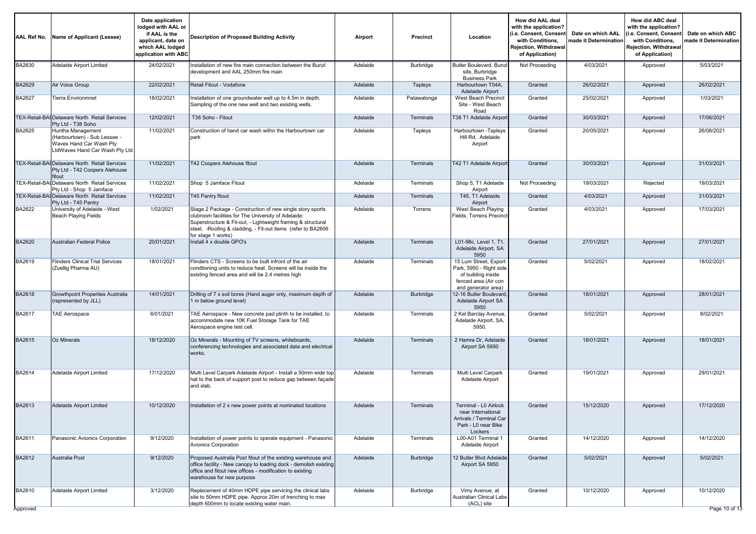| AAL Ref No.        | Name of Applicant (Lessee)                                                                                     | Date application<br>lodged with AAL or<br>if AAL is the<br>applicant, date on<br>which AAL lodged<br>application with ABC | <b>Description of Proposed Building Activity</b>                                                                                                                                                                                                                       | Airport  | <b>Precinct</b>  | Location                                                                                                              | How did AAL deal<br>with the application?<br>(i.e. Consent, Consent<br>with Conditions,<br><b>Rejection, Withdrawal</b><br>of Application) | Date on which AAL<br>made it Determination | How did ABC deal<br>with the application?<br>(i.e. Consent, Consen<br>with Conditions,<br>Rejection, Withdrawal<br>of Application) | Date on which ABC<br>made it Determination |
|--------------------|----------------------------------------------------------------------------------------------------------------|---------------------------------------------------------------------------------------------------------------------------|------------------------------------------------------------------------------------------------------------------------------------------------------------------------------------------------------------------------------------------------------------------------|----------|------------------|-----------------------------------------------------------------------------------------------------------------------|--------------------------------------------------------------------------------------------------------------------------------------------|--------------------------------------------|------------------------------------------------------------------------------------------------------------------------------------|--------------------------------------------|
| <b>BA2630</b>      | Adelaide Airport Limited                                                                                       | 24/02/2021                                                                                                                | Installation of new fire main connection between the Bunzl<br>development and AAL 250mm fire main                                                                                                                                                                      | Adelaide | Burbridge        | Butler Boulevard, Bunzl<br>site, Burbridge<br><b>Business Park</b>                                                    | Not Proceeding                                                                                                                             | 4/03/2021                                  | Approved                                                                                                                           | 5/03/2021                                  |
| BA2629             | Air Voice Group                                                                                                | 22/02/2021                                                                                                                | Retail Fitout - Vodafone                                                                                                                                                                                                                                               | Adelaide | Tapleys          | Harbourtown T04A,<br>Adelaide Airport                                                                                 | Granted                                                                                                                                    | 26/02/2021                                 | Approved                                                                                                                           | 26/02/2021                                 |
| BA2627             | <b>Tierra Environmnet</b>                                                                                      | 18/02/2021                                                                                                                | Installation of one groundwater well up to 4.5m in depth.<br>Sampling of the one new well and two existing wells.                                                                                                                                                      | Adelaide | Patawalonga      | West Beach Precinct<br>Site - West Beach<br>Road                                                                      | Granted                                                                                                                                    | 25/02/2021                                 | Approved                                                                                                                           | 1/03/2021                                  |
|                    | TEX-Retail-BAI Delaware North Retail Services<br>Pty Ltd - T38 Soho                                            | 12/02/2021                                                                                                                | T38 Soho - Fitout                                                                                                                                                                                                                                                      | Adelaide | Terminals        | T38 T1 Adelaide Airport                                                                                               | Granted                                                                                                                                    | 30/03/2021                                 | Approved                                                                                                                           | 17/06/2021                                 |
| BA2625             | Huntha Management<br>(Harbourtown) - Sub Lessee -<br>Waves Hand Car Wash Pty<br>LtdWaves Hand Car Wash Pty Ltd | 11/02/2021                                                                                                                | Construction of hand car wash withn the Harbourtown car<br>park                                                                                                                                                                                                        | Adelaide | Tapleys          | Harbourtown -Tapleys<br>Hill Rd, Adelaide<br>Airport                                                                  | Granted                                                                                                                                    | 20/05/2021                                 | Approved                                                                                                                           | 26/08/2021                                 |
|                    | TEX-Retail-BAI Delaware North Retail Services<br>Pty Ltd - T42 Coopers Alehouse<br>fitout                      | 11/02/2021                                                                                                                | T42 Coopers Alehouse fitout                                                                                                                                                                                                                                            | Adelaide | <b>Terminals</b> | T42 T1 Adelaide Airport                                                                                               | Granted                                                                                                                                    | 30/03/2021                                 | Approved                                                                                                                           | 31/03/2021                                 |
|                    | TEX-Retail-BAI Delaware North Retail Services<br>Pty Ltd - Shop 5 Jamface                                      | 11/02/2021                                                                                                                | Shop 5 Jamface Fitout                                                                                                                                                                                                                                                  | Adelaide | Terminals        | Shop 5, T1 Adelaide<br>Airport                                                                                        | Not Proceeding                                                                                                                             | 19/03/2021                                 | Rejected                                                                                                                           | 19/03/2021                                 |
|                    | TEX-Retail-BAI Delaware North Retail Services<br>Pty Ltd - T45 Pantry                                          | 11/02/2021                                                                                                                | <b>T45 Pantry fitout</b>                                                                                                                                                                                                                                               | Adelaide | Terminals        | T45, T1 Adelaide<br>Airport                                                                                           | Granted                                                                                                                                    | 4/03/2021                                  | Approved                                                                                                                           | 31/03/2021                                 |
| BA2622             | University of Adelaide - West<br><b>Beach Playing Fields</b>                                                   | 1/02/2021                                                                                                                 | Stage 2 Package - Construction of new single story sports<br>clubroom facilities for The University of Adelaide:<br>Superstructure & Fit-out, - Lightweight framing & structural<br>steel, -Roofing & cladding, - Fit-out items (refer to BA2606<br>for stage 1 works) | Adelaide | Torrens          | West Beach Playing<br>Fields, Torrens Precinct                                                                        | Granted                                                                                                                                    | 4/03/2021                                  | Approved                                                                                                                           | 17/03/2021                                 |
| BA2620             | <b>Australian Federal Police</b>                                                                               | 20/01/2021                                                                                                                | Install 4 x double GPO's                                                                                                                                                                                                                                               | Adelaide | Terminals        | L01-98c, Level 1, T1,<br>Adelaide Airport, SA<br>5950                                                                 | Granted                                                                                                                                    | 27/01/2021                                 | Approved                                                                                                                           | 27/01/2021                                 |
| BA2619             | <b>Flinders Clinical Trial Services</b><br>(Zuellig Pharma AU)                                                 | 18/01/2021                                                                                                                | Flinders CTS - Screens to be built infront of the air<br>condtioning units to reduce heat. Screens will be inside the<br>existing fenced area and will be 2.4 metres high                                                                                              | Adelaide | Terminals        | 15 Lum Street, Export<br>Park, 5950 - Right side<br>of building inside<br>fenced area (Air con<br>and generator area) | Granted                                                                                                                                    | 5/02/2021                                  | Approved                                                                                                                           | 18/02/2021                                 |
| BA2618             | <b>Growthpoint Properties Australia</b><br>(represented by JLL)                                                | 14/01/2021                                                                                                                | Drilling of 7 x soil bores (Hand auger only, maximum depth of<br>1 m below ground level)                                                                                                                                                                               | Adelaide | <b>Burbridge</b> | 12-16 Butler Boulevard.<br>Adelaide Airport SA<br>5950                                                                | Granted                                                                                                                                    | 18/01/2021                                 | Approved                                                                                                                           | 28/01/2021                                 |
| BA2617             | <b>TAE Aerospace</b>                                                                                           | 6/01/2021                                                                                                                 | TAE Aerospace - New concrete pad plinth to be installed, to<br>accommodate new 10K Fuel Storage Tank for TAE<br>Aerospace engine test cell.                                                                                                                            | Adelaide | Terminals        | 2 Kel Barclay Avenue<br>Adelaide Airport, SA,<br>5950.                                                                | Granted                                                                                                                                    | 5/02/2021                                  | Approved                                                                                                                           | 8/02/2021                                  |
| BA2615             | <b>Oz Minerals</b>                                                                                             | 18/12/2020                                                                                                                | Oz Minerals - Mounting of TV screens, whiteboards,<br>conferencing technologies and associated data and electrical<br>works.                                                                                                                                           | Adelaide | Terminals        | 2 Hamra Dr, Adelaide<br>Airport SA 5950                                                                               | Granted                                                                                                                                    | 18/01/2021                                 | Approved                                                                                                                           | 18/01/2021                                 |
| BA2614             | Adelaide Airport Limited                                                                                       | 17/12/2020                                                                                                                | Multi Level Carpark Adelaide Airport - Install a 50mm wide top<br>hat to the back of support post to reduce gap between façade<br>and slab.                                                                                                                            | Adelaide | Terminals        | Multi Level Carpark<br>Adelaide Airport                                                                               | Granted                                                                                                                                    | 19/01/2021                                 | Approved                                                                                                                           | 29/01/2021                                 |
| BA2613             | Adelaide Airport Limited                                                                                       | 10/12/2020                                                                                                                | Installation of 2 x new power points at nominated locations                                                                                                                                                                                                            | Adelaide | Terminals        | Terminal - L0 Airlock<br>near International<br>Arrivals / Terminal Car<br>Park - L0 near Bike<br>Lockers              | Granted                                                                                                                                    | 15/12/2020                                 | Approved                                                                                                                           | 17/12/2020                                 |
| BA2611             | Panasonic Avionics Corporation                                                                                 | 9/12/2020                                                                                                                 | Installation of power points to operate equipment - Panasonic<br><b>Avionics Corporation</b>                                                                                                                                                                           | Adelaide | Terminals        | L00-A01 Terminal 1<br>Adelaide Airport                                                                                | Granted                                                                                                                                    | 14/12/2020                                 | Approved                                                                                                                           | 14/12/2020                                 |
| <b>BA2612</b>      | Australia Post                                                                                                 | 9/12/2020                                                                                                                 | Proposed Australia Post fitout of the existing warehouse and<br>office facility - New canopy to loading dock - demolish existing<br>office and fitout new offices - modification to existing<br>warehouse for new purpose                                              | Adelaide | Burbridge        | 12 Butler Blvd Adelaide<br>Airport SA 5950                                                                            | Granted                                                                                                                                    | 5/02/2021                                  | Approved                                                                                                                           | 5/02/2021                                  |
| BA2610<br>Approved | Adelaide Airport Limited                                                                                       | 3/12/2020                                                                                                                 | Replacement of 40mm HDPE pipe servicing the clinical labs<br>site to 50mm HDPE pipe. Approx 20m of trenching to max<br>depth 600mm to locate existing water main.                                                                                                      | Adelaide | Burbridge        | Vimy Avenue, at<br>Australian Clinical Labs<br>(ACL) site                                                             | Granted                                                                                                                                    | 10/12/2020                                 | Approved                                                                                                                           | 10/12/2020<br>Page 10 of 13                |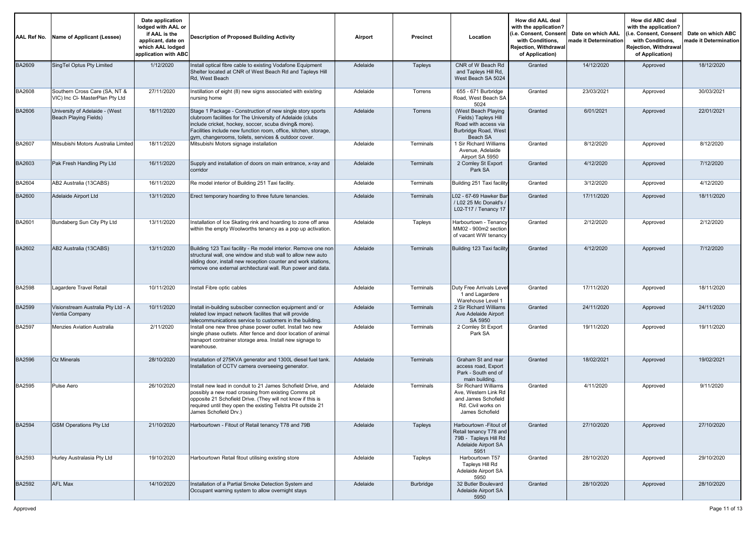| AAL Ref No.   | Name of Applicant (Lessee)                                       | Date application<br>lodged with AAL or<br>if AAL is the<br>applicant, date on<br>which AAL lodged<br>application with ABC | Description of Proposed Building Activity                                                                                                                                                                                                                                                                  | Airport  | Precinct         | Location                                                                                                            | How did AAL deal<br>with the application?<br>(i.e. Consent, Consent<br>with Conditions,<br>Rejection, Withdrawal<br>of Application) | Date on which AAL<br>nade it Determination | How did ABC deal<br>with the application?<br>(i.e. Consent, Consent<br>with Conditions,<br>Rejection, Withdrawal<br>of Application) | Date on which ABC<br>made it Determination |
|---------------|------------------------------------------------------------------|---------------------------------------------------------------------------------------------------------------------------|------------------------------------------------------------------------------------------------------------------------------------------------------------------------------------------------------------------------------------------------------------------------------------------------------------|----------|------------------|---------------------------------------------------------------------------------------------------------------------|-------------------------------------------------------------------------------------------------------------------------------------|--------------------------------------------|-------------------------------------------------------------------------------------------------------------------------------------|--------------------------------------------|
| BA2609        | SingTel Optus Pty Limited                                        | 1/12/2020                                                                                                                 | Install optical fibre cable to existing Vodafone Equipment<br>Shelter located at CNR of West Beach Rd and Tapleys Hill<br>Rd, West Beach                                                                                                                                                                   | Adelaide | Tapleys          | CNR of W Beach Rd<br>and Tapleys Hill Rd,<br>West Beach SA 5024                                                     | Granted                                                                                                                             | 14/12/2020                                 | Approved                                                                                                                            | 18/12/2020                                 |
| <b>BA2608</b> | Southern Cross Care (SA, NT &<br>VIC) Inc CI- MasterPlan Pty Ltd | 27/11/2020                                                                                                                | Instillation of eight (8) new signs associated with existing<br>nursing home                                                                                                                                                                                                                               | Adelaide | Torrens          | 655 - 671 Burbridge<br>Road, West Beach SA<br>5024                                                                  | Granted                                                                                                                             | 23/03/2021                                 | Approved                                                                                                                            | 30/03/2021                                 |
| BA2606        | University of Adelaide - (West<br>Beach Playing Fields)          | 18/11/2020                                                                                                                | Stage 1 Package - Construction of new single story sports<br>clubroom facilities for The University of Adelaide (clubs<br>include cricket, hockey, soccer, scuba diving& more).<br>Facilities include new function room, office, kitchen, storage,<br>gym, changerooms, toilets, services & outdoor cover. | Adelaide | Torrens          | (West Beach Playing<br>Fields) Tapleys Hill<br>Road with access via<br>Burbridge Road, West<br>Beach SA             | Granted                                                                                                                             | 6/01/2021                                  | Approved                                                                                                                            | 22/01/2021                                 |
| BA2607        | Mitsubishi Motors Australia Limited                              | 18/11/2020                                                                                                                | Mitsubishi Motors signage installation                                                                                                                                                                                                                                                                     | Adelaide | Terminals        | 1 Sir Richard Williams<br>Avenue, Adelaide<br>Airport SA 5950                                                       | Granted                                                                                                                             | 8/12/2020                                  | Approved                                                                                                                            | 8/12/2020                                  |
| BA2603        | Pak Fresh Handling Pty Ltd                                       | 16/11/2020                                                                                                                | Supply and installation of doors on main entrance, x-ray and<br>corridor                                                                                                                                                                                                                                   | Adelaide | Terminals        | 2 Comley St Export<br>Park SA                                                                                       | Granted                                                                                                                             | 4/12/2020                                  | Approved                                                                                                                            | 7/12/2020                                  |
| BA2604        | AB2 Australia (13CABS)                                           | 16/11/2020                                                                                                                | Re model interior of Building 251 Taxi facility.                                                                                                                                                                                                                                                           | Adelaide | Terminals        | Building 251 Taxi facility                                                                                          | Granted                                                                                                                             | 3/12/2020                                  | Approved                                                                                                                            | 4/12/2020                                  |
| <b>BA2600</b> | Adelaide Airport Ltd                                             | 13/11/2020                                                                                                                | Erect temporary hoarding to three future tenancies.                                                                                                                                                                                                                                                        | Adelaide | Terminals        | L02 - 67-69 Hawker Bar<br>/ L02 25 Mc Donald's /<br>L02-T17 / Tenancy 17                                            | Granted                                                                                                                             | 17/11/2020                                 | Approved                                                                                                                            | 18/11/2020                                 |
| BA2601        | Bundaberg Sun City Pty Ltd                                       | 13/11/2020                                                                                                                | Installation of Ice Skating rink and hoarding to zone off area<br>within the empty Woolworths tenancy as a pop up activation.                                                                                                                                                                              | Adelaide | Tapleys          | Harbourtown - Tenancy<br>MM02 - 900m2 section<br>of vacant WW tenancy                                               | Granted                                                                                                                             | 2/12/2020                                  | Approved                                                                                                                            | 2/12/2020                                  |
| BA2602        | AB2 Australia (13CABS)                                           | 13/11/2020                                                                                                                | Building 123 Taxi facility - Re model interior. Remove one non<br>structural wall, one window and stub wall to allow new auto<br>sliding door, install new reception counter and work stations,<br>remove one external architectural wall. Run power and data.                                             | Adelaide | <b>Terminals</b> | Building 123 Taxi facility                                                                                          | Granted                                                                                                                             | 4/12/2020                                  | Approved                                                                                                                            | 7/12/2020                                  |
| <b>BA2598</b> | Lagardere Travel Retail                                          | 10/11/2020                                                                                                                | Install Fibre optic cables                                                                                                                                                                                                                                                                                 | Adelaide | Terminals        | Duty Free Arrivals Level<br>1 and Lagardere<br>Warehouse Level 1                                                    | Granted                                                                                                                             | 17/11/2020                                 | Approved                                                                                                                            | 18/11/2020                                 |
| <b>BA2599</b> | Visionstream Australia Pty Ltd - A<br>Ventia Company             | 10/11/2020                                                                                                                | Install in-building subsciber connection equipment and/ or<br>related low impact network facilites that will provide<br>telecommunications service to customers in the building.                                                                                                                           | Adelaide | Terminals        | 2 Sir Richard Williams<br>Ave Adelaide Airport<br>SA 5950                                                           | Granted                                                                                                                             | 24/11/2020                                 | Approved                                                                                                                            | 24/11/2020                                 |
| <b>BA2597</b> | <b>Menzies Aviation Australia</b>                                | 2/11/2020                                                                                                                 | Install one new three phase power outlet. Install two new<br>single phase outlets. Alter fence and door location of animal<br>tranaport contrainer storage area. Install new signage to<br>warehouse.                                                                                                      | Adelaide | Terminals        | 2 Comley St Export<br>Park SA                                                                                       | Granted                                                                                                                             | 19/11/2020                                 | Approved                                                                                                                            | 19/11/2020                                 |
| <b>BA2596</b> | Oz Minerals                                                      | 28/10/2020                                                                                                                | nstallation of 275KVA generator and 1300L diesel fuel tank.<br>Installation of CCTV camera overseeing generator.                                                                                                                                                                                           | Adelaide | <b>Terminals</b> | Graham St and rear<br>access road, Export<br>Park - South end of<br>main building.                                  | Granted                                                                                                                             | 18/02/2021                                 | Approved                                                                                                                            | 19/02/2021                                 |
| BA2595        | Pulse Aero                                                       | 26/10/2020                                                                                                                | Install new lead in conduit to 21 James Schofield Drive, and<br>possibly a new road crossing from existing Comms pit<br>opposite 21 Schofield Drive. (They will not know if this is<br>required until they open the existing Telstra Pit outside 21<br>James Schofield Drv.)                               | Adelaide | Terminals        | <b>Sir Richard Williams</b><br>Ave, Western Link Rd<br>and James Schofield<br>Rd. Civil works on<br>James Schofield | Granted                                                                                                                             | 4/11/2020                                  | Approved                                                                                                                            | 9/11/2020                                  |
| <b>BA2594</b> | <b>GSM Operations Pty Ltd</b>                                    | 21/10/2020                                                                                                                | Harbourtown - Fitout of Retail tenancy T78 and 79B                                                                                                                                                                                                                                                         | Adelaide | Tapleys          | Harbourtown - Fitout of<br>Retail tenancy T78 and<br>79B - Tapleys Hill Rd<br>Adelaide Airport SA<br>5951           | Granted                                                                                                                             | 27/10/2020                                 | Approved                                                                                                                            | 27/10/2020                                 |
| BA2593        | Hurley Australasia Pty Ltd                                       | 19/10/2020                                                                                                                | Harbourtown Retail fitout utilising existing store                                                                                                                                                                                                                                                         | Adelaide | Tapleys          | Harbourtown T57<br>Tapleys Hill Rd<br>Adelaide Airport SA<br>5950                                                   | Granted                                                                                                                             | 28/10/2020                                 | Approved                                                                                                                            | 29/10/2020                                 |
| <b>BA2592</b> | <b>AFL Max</b>                                                   | 14/10/2020                                                                                                                | Installation of a Partial Smoke Detection System and<br>Occupant warning system to allow overnight stays                                                                                                                                                                                                   | Adelaide | Burbridge        | 32 Butler Boulevard<br>Adelaide Airport SA<br>5950                                                                  | Granted                                                                                                                             | 28/10/2020                                 | Approved                                                                                                                            | 28/10/2020                                 |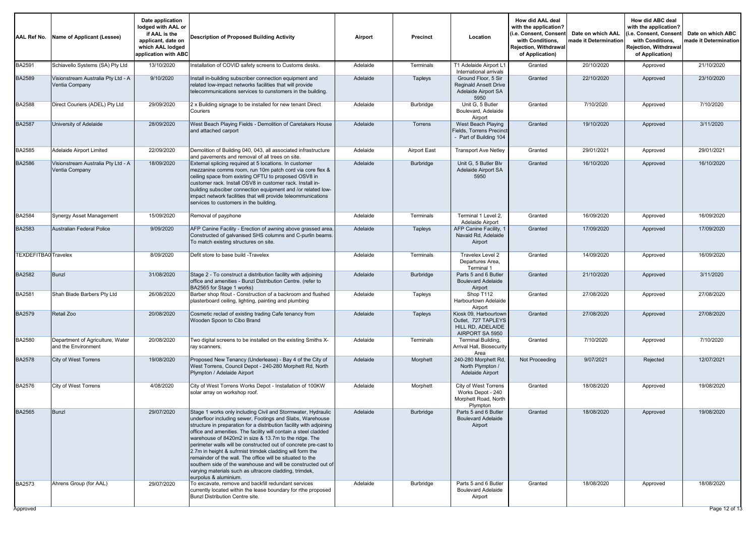| AAL Ref No.                 | Name of Applicant (Lessee)                              | Date application<br>lodged with AAL or<br>if AAL is the<br>applicant, date on<br>which AAL lodged<br>application with ABC | <b>Description of Proposed Building Activity</b>                                                                                                                                                                                                                                                                                                                                                                                                                                                                                                                                                                                                                             | Airport  | <b>Precinct</b>     | Location                                                                             | How did AAL deal<br>with the application?<br>(i.e. Consent, Consen<br>with Conditions.<br>Rejection, Withdrawal<br>of Application) | Date on which AAL<br>made it Determination | How did ABC deal<br>with the application?<br>(i.e. Consent, Consen<br>with Conditions,<br><b>Rejection, Withdrawal</b><br>of Application) | Date on which ABC<br>made it Determination |
|-----------------------------|---------------------------------------------------------|---------------------------------------------------------------------------------------------------------------------------|------------------------------------------------------------------------------------------------------------------------------------------------------------------------------------------------------------------------------------------------------------------------------------------------------------------------------------------------------------------------------------------------------------------------------------------------------------------------------------------------------------------------------------------------------------------------------------------------------------------------------------------------------------------------------|----------|---------------------|--------------------------------------------------------------------------------------|------------------------------------------------------------------------------------------------------------------------------------|--------------------------------------------|-------------------------------------------------------------------------------------------------------------------------------------------|--------------------------------------------|
| <b>BA2591</b>               | Schiavello Systems (SA) Pty Ltd                         | 13/10/2020                                                                                                                | Installation of COVID safety screens to Customs desks.                                                                                                                                                                                                                                                                                                                                                                                                                                                                                                                                                                                                                       | Adelaide | Terminals           | T1 Adelaide Airport L1<br>International arrivals                                     | Granted                                                                                                                            | 20/10/2020                                 | Approved                                                                                                                                  | 21/10/2020                                 |
| <b>BA2589</b>               | Visionstream Australia Pty Ltd - A<br>Ventia Company    | 9/10/2020                                                                                                                 | Install in-building subscriber connection equipment and<br>related low-impact networks facilities that will provide<br>telecommunications services to cunstomers in the building.                                                                                                                                                                                                                                                                                                                                                                                                                                                                                            | Adelaide | Tapleys             | Ground Floor, 5 Sir<br><b>Reginald Ansett Drive</b><br>Adelaide Airport SA<br>5950   | Granted                                                                                                                            | 22/10/2020                                 | Approved                                                                                                                                  | 23/10/2020                                 |
| <b>BA2588</b>               | Direct Couriers (ADEL) Pty Ltd                          | 29/09/2020                                                                                                                | 2 x Building signage to be installed for new tenant Direct<br>Couriers                                                                                                                                                                                                                                                                                                                                                                                                                                                                                                                                                                                                       | Adelaide | Burbridge           | Unit G, 5 Butler<br>Boulevard, Adelaide<br>Airport                                   | Granted                                                                                                                            | 7/10/2020                                  | Approved                                                                                                                                  | 7/10/2020                                  |
| <b>BA2587</b>               | University of Adelaide                                  | 28/09/2020                                                                                                                | West Beach Playing Fields - Demolition of Caretakers House<br>and attached carport                                                                                                                                                                                                                                                                                                                                                                                                                                                                                                                                                                                           | Adelaide | Torrens             | West Beach Playing<br>Fields, Torrens Precinc<br>- Part of Building 104              | Granted                                                                                                                            | 19/10/2020                                 | Approved                                                                                                                                  | 3/11/2020                                  |
| BA2585                      | Adelaide Airport Limited                                | 22/09/2020                                                                                                                | Demolition of Building 040, 043, all associated infrastructure<br>and pavements and removal of all trees on site.                                                                                                                                                                                                                                                                                                                                                                                                                                                                                                                                                            | Adelaide | <b>Airport East</b> | <b>Transport Ave Netley</b>                                                          | Granted                                                                                                                            | 29/01/2021                                 | Approved                                                                                                                                  | 29/01/2021                                 |
| <b>BA2586</b>               | Visionstream Australia Pty Ltd - A<br>Ventia Company    | 18/09/2020                                                                                                                | External splicing required at 5 locations. In customer<br>mezzanine comms room, run 10m patch cord via core flex &<br>ceiling space from existing OFTU to proposed OSV8 in<br>customer rack. Install OSV8 in customer rack. Install in-<br>building subsciber connection equipment and /or related low-<br>impact network facilities that will provide teleommunications<br>services to customers in the building.                                                                                                                                                                                                                                                           | Adelaide | Burbridge           | Unit G, 5 Butler Blv<br>Adelaide Airport SA<br>5950                                  | Granted                                                                                                                            | 16/10/2020                                 | Approved                                                                                                                                  | 16/10/2020                                 |
| BA2584                      | Synergy Asset Management                                | 15/09/2020                                                                                                                | Removal of payphone                                                                                                                                                                                                                                                                                                                                                                                                                                                                                                                                                                                                                                                          | Adelaide | Terminals           | Terminal 1 Level 2.<br>Adelaide Airport                                              | Granted                                                                                                                            | 16/09/2020                                 | Approved                                                                                                                                  | 16/09/2020                                 |
| BA2583                      | Australian Federal Police                               | 9/09/2020                                                                                                                 | AFP Canine Facility - Erection of awning above grassed area<br>Constructed of galvanised SHS columns and C-purlin beams.<br>To match existing structures on site.                                                                                                                                                                                                                                                                                                                                                                                                                                                                                                            | Adelaide | Tapleys             | AFP Canine Facility, 1<br>Navaid Rd, Adelaide<br>Airport                             | Granted                                                                                                                            | 17/09/2020                                 | Approved                                                                                                                                  | 17/09/2020                                 |
| <b>TEXDEFITBA0 Travelex</b> |                                                         | 8/09/2020                                                                                                                 | Defit store to base build -Travelex                                                                                                                                                                                                                                                                                                                                                                                                                                                                                                                                                                                                                                          | Adelaide | Terminals           | Travelex Level 2<br>Departures Area.<br>Terminal 1                                   | Granted                                                                                                                            | 14/09/2020                                 | Approved                                                                                                                                  | 16/09/2020                                 |
| <b>BA2582</b>               | <b>Bunzl</b>                                            | 31/08/2020                                                                                                                | Stage 2 - To construct a distribution facility with adjoining<br>office and amenities - Bunzl Distribution Centre. (refer to<br>BA2565 for Stage 1 works)                                                                                                                                                                                                                                                                                                                                                                                                                                                                                                                    | Adelaide | Burbridge           | Parts 5 and 6 Butler<br><b>Boulevard Adelaide</b><br>Airport                         | Granted                                                                                                                            | 21/10/2020                                 | Approved                                                                                                                                  | 3/11/2020                                  |
| BA2581                      | Shah Blade Barbers Pty Ltd                              | 26/08/2020                                                                                                                | Barber shop fitout - Construction of a backroom and flushed<br>plasterboard ceiling, lighting, painting and plumbing                                                                                                                                                                                                                                                                                                                                                                                                                                                                                                                                                         | Adelaide | Tapleys             | Shop T112<br>Harbourtown Adelaide<br>Airport                                         | Granted                                                                                                                            | 27/08/2020                                 | Approved                                                                                                                                  | 27/08/2020                                 |
| <b>BA2579</b>               | Retail Zoo                                              | 20/08/2020                                                                                                                | Cosmetic reclad of existing trading Cafe tenancy from<br>Wooden Spoon to Cibo Brand                                                                                                                                                                                                                                                                                                                                                                                                                                                                                                                                                                                          | Adelaide | Tapleys             | Kiosk 09, Harbourtown<br>Outlet, 727 TAPLEYS<br>HILL RD, ADELAIDE<br>AIRPORT SA 5950 | Granted                                                                                                                            | 27/08/2020                                 | Approved                                                                                                                                  | 27/08/2020                                 |
| <b>BA2580</b>               | Department of Agriculture, Water<br>and the Environment | 20/08/2020                                                                                                                | Two digital screens to be installed on the existing Smiths X-<br>ray scanners.                                                                                                                                                                                                                                                                                                                                                                                                                                                                                                                                                                                               | Adelaide | Terminals           | Terminal Building,<br>Arrival Hall, Biosecurity<br>Area                              | Granted                                                                                                                            | 7/10/2020                                  | Approved                                                                                                                                  | 7/10/2020                                  |
| <b>BA2578</b>               | <b>City of West Torrens</b>                             | 19/08/2020                                                                                                                | Proposed New Tenancy (Underlease) - Bay 4 of the City of<br>West Torrens, Council Depot - 240-280 Morphett Rd, North<br>Plympton / Adelaide Airport                                                                                                                                                                                                                                                                                                                                                                                                                                                                                                                          | Adelaide | Morphett            | 240-280 Morphett Rd<br>North Plympton /<br>Adelaide Airport                          | Not Proceeding                                                                                                                     | 9/07/2021                                  | Rejected                                                                                                                                  | 12/07/2021                                 |
| BA2576                      | City of West Torrens                                    | 4/08/2020                                                                                                                 | City of West Torrens Works Depot - Installation of 100KW<br>solar array on workshop roof.                                                                                                                                                                                                                                                                                                                                                                                                                                                                                                                                                                                    | Adelaide | Morphett            | City of West Torrens<br>Works Depot - 240<br>Morphett Road, North<br>Plympton        | Granted                                                                                                                            | 18/08/2020                                 | Approved                                                                                                                                  | 19/08/2020                                 |
| <b>BA2565</b>               | <b>Bunzl</b>                                            | 29/07/2020                                                                                                                | Stage 1 works only including Civil and Stormwater, Hydraulic<br>underfloor including sewer, Footings and Slabs, Warehouse<br>structure in preparation for a distribution facility with adjoining<br>office and amenities. The facility will contain a steel cladded<br>warehouse of 8420m2 in size & 13.7m to the ridge. The<br>perimeter walls will be constructed out of concrete pre-cast to<br>2.7m in height & sufrmist trimdek cladding will form the<br>remainder of the wall. The office will be situated to the<br>southern side of the warehouse and will be constructed out of<br>varying materials such as ultracore cladding, trimdek,<br>eurpolus & aluminium. | Adelaide | Burbridge           | Parts 5 and 6 Butler<br><b>Boulevard Adelaide</b><br>Airport                         | Granted                                                                                                                            | 18/08/2020                                 | Approved                                                                                                                                  | 19/08/2020                                 |
| <b>BA2573</b>               | Ahrens Group (for AAL)                                  | 29/07/2020                                                                                                                | To excavate, remove and backfill redundant services<br>currently located within the lease boundary for rthe proposed<br>Bunzl Distribution Centre site.                                                                                                                                                                                                                                                                                                                                                                                                                                                                                                                      | Adelaide | Burbridge           | Parts 5 and 6 Butler<br><b>Boulevard Adelaide</b><br>Airport                         | Granted                                                                                                                            | 18/08/2020                                 | Approved                                                                                                                                  | 18/08/2020                                 |
| Approved                    |                                                         |                                                                                                                           |                                                                                                                                                                                                                                                                                                                                                                                                                                                                                                                                                                                                                                                                              |          |                     |                                                                                      |                                                                                                                                    |                                            |                                                                                                                                           | Page 12 of 13                              |